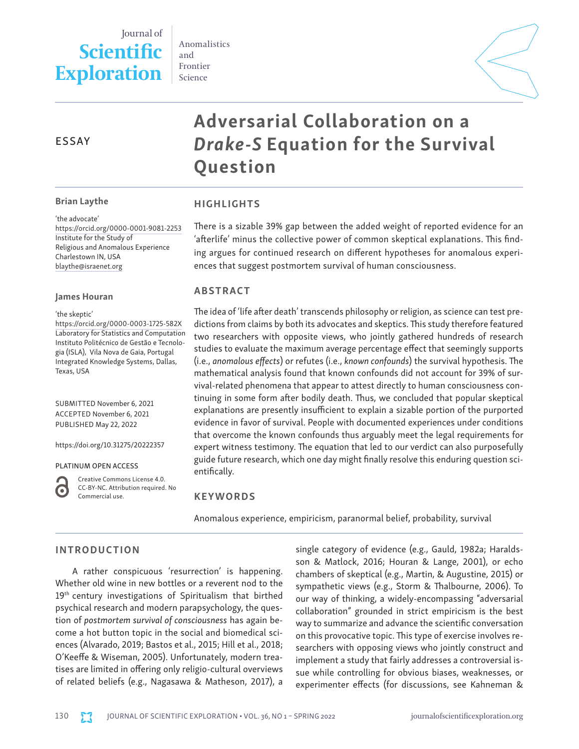# Journal of **Scientific Exploration**

Anomalistics and Frontier Science



## ESSAY

#### Brian Laythe

'the advocate' <https://orcid.org/0000-0001-9081-2253> Institute for the Study of Religious and Anomalous Experience Charlestown IN, USA [blaythe@israenet.org](mailto:blaythe@israenet.org)

#### James Houran

'the skeptic'

<https://orcid.org/0000-0003-1725-582X> Laboratory for Statistics and Computation Instituto Politécnico de Gestão e Tecnologia (ISLA), Vila Nova de Gaia, Portugal Integrated Knowledge Systems, Dallas, Texas, USA

SUBMITTED November 6, 2021 ACCEPTED November 6, 2021 PUBLISHED May 22, 2022

https://doi.org/10.31275/20222357

PLATINUM OPEN ACCESS



Creative Commons License 4.0. CC-BY-NC. Attribution required. No Commercial use.

## KEYWORDS

Anomalous experience, empiricism, paranormal belief, probability, survival

## INTRODUCTION

A rather conspicuous 'resurrection' is happening. Whether old wine in new bottles or a reverent nod to the 19<sup>th</sup> century investigations of Spiritualism that birthed psychical research and modern parapsychology, the question of *postmortem survival of consciousness* has again become a hot button topic in the social and biomedical sciences (Alvarado, 2019; Bastos et al., 2015; Hill et al., 2018; O'Keeffe & Wiseman, 2005). Unfortunately, modern treatises are limited in offering only religio-cultural overviews of related beliefs (e.g., Nagasawa & Matheson, 2017), a single category of evidence (e.g., Gauld, 1982a; Haraldsson & Matlock, 2016; Houran & Lange, 2001), or echo chambers of skeptical (e.g., Martin, & Augustine, 2015) or sympathetic views (e.g., Storm & Thalbourne, 2006). To our way of thinking, a widely-encompassing "adversarial collaboration" grounded in strict empiricism is the best way to summarize and advance the scientific conversation on this provocative topic. This type of exercise involves researchers with opposing views who jointly construct and implement a study that fairly addresses a controversial issue while controlling for obvious biases, weaknesses, or experimenter effects (for discussions, see Kahneman &

HIGHLIGHTS There is a sizable 39% gap between the added weight of reported evidence for an 'afterlife' minus the collective power of common skeptical explanations. This finding argues for continued research on different hypotheses for anomalous experi-

ences that suggest postmortem survival of human consciousness.

*Drake-S* Equation for the Survival

Adversarial Collaboration on a

## ABSTRACT

Question

The idea of 'life after death' transcends philosophy or religion, as science can test predictions from claims by both its advocates and skeptics. This study therefore featured two researchers with opposite views, who jointly gathered hundreds of research studies to evaluate the maximum average percentage effect that seemingly supports (i.e., *anomalous effects*) or refutes (i.e., *known confounds*) the survival hypothesis. The mathematical analysis found that known confounds did not account for 39% of survival-related phenomena that appear to attest directly to human consciousness continuing in some form after bodily death. Thus, we concluded that popular skeptical explanations are presently insufficient to explain a sizable portion of the purported evidence in favor of survival. People with documented experiences under conditions that overcome the known confounds thus arguably meet the legal requirements for expert witness testimony. The equation that led to our verdict can also purposefully guide future research, which one day might finally resolve this enduring question scientifically.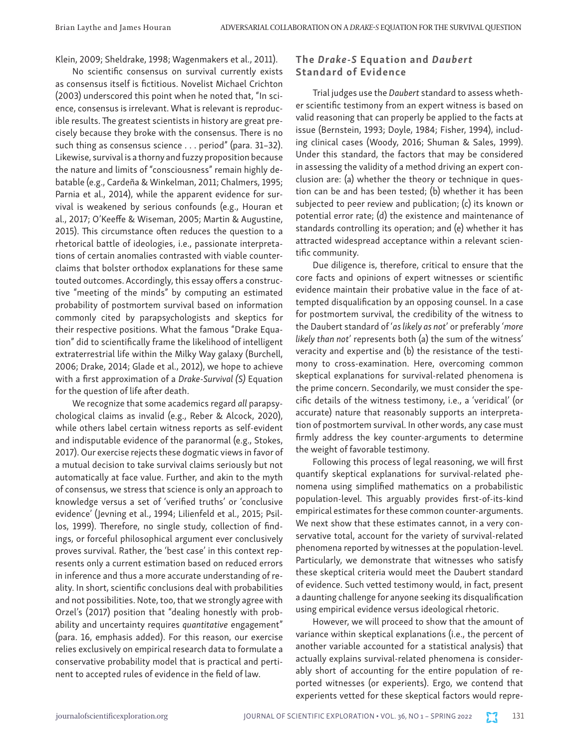Klein, 2009; Sheldrake, 1998; Wagenmakers et al., 2011).

No scientific consensus on survival currently exists as consensus itself is fictitious. Novelist Michael Crichton (2003) underscored this point when he noted that, "In science, consensus is irrelevant. What is relevant is reproducible results. The greatest scientists in history are great precisely because they broke with the consensus. There is no such thing as consensus science . . . period" (para. 31-32). Likewise, survival is a thorny and fuzzy proposition because the nature and limits of "consciousness" remain highly debatable (e.g., Cardeña & Winkelman, 2011; Chalmers, 1995; Parnia et al., 2014), while the apparent evidence for survival is weakened by serious confounds (e.g., Houran et al., 2017; O'Keeffe & Wiseman, 2005; Martin & Augustine, 2015). This circumstance often reduces the question to a rhetorical battle of ideologies, i.e., passionate interpretations of certain anomalies contrasted with viable counterclaims that bolster orthodox explanations for these same touted outcomes. Accordingly, this essay offers a constructive "meeting of the minds" by computing an estimated probability of postmortem survival based on information commonly cited by parapsychologists and skeptics for their respective positions. What the famous "Drake Equation" did to scientifically frame the likelihood of intelligent extraterrestrial life within the Milky Way galaxy (Burchell, 2006; Drake, 2014; Glade et al., 2012), we hope to achieve with a first approximation of a *Drake-Survival (S)* Equation for the question of life after death.

We recognize that some academics regard *all* parapsychological claims as invalid (e.g., Reber & Alcock, 2020), while others label certain witness reports as self-evident and indisputable evidence of the paranormal (e.g., Stokes, 2017). Our exercise rejects these dogmatic views in favor of a mutual decision to take survival claims seriously but not automatically at face value. Further, and akin to the myth of consensus, we stress that science is only an approach to knowledge versus a set of 'verified truths' or 'conclusive evidence' (Jevning et al., 1994; Lilienfeld et al., 2015; Psillos, 1999). Therefore, no single study, collection of findings, or forceful philosophical argument ever conclusively proves survival. Rather, the 'best case' in this context represents only a current estimation based on reduced errors in inference and thus a more accurate understanding of reality. In short, scientific conclusions deal with probabilities and not possibilities. Note, too, that we strongly agree with Orzel's (2017) position that "dealing honestly with probability and uncertainty requires *quantitative* engagement" (para. 16, emphasis added). For this reason, our exercise relies exclusively on empirical research data to formulate a conservative probability model that is practical and pertinent to accepted rules of evidence in the field of law.

## The *Drake-S* Equation and *Daubert* Standard of Evidence

Trial judges use the *Daubert* standard to assess whether scientific testimony from an expert witness is based on valid reasoning that can properly be applied to the facts at issue (Bernstein, 1993; Doyle, 1984; Fisher, 1994), including clinical cases (Woody, 2016; Shuman & Sales, 1999). Under this standard, the factors that may be considered in assessing the validity of a method driving an expert conclusion are: (a) whether the theory or technique in question can be and has been tested; (b) whether it has been subjected to peer review and publication; (c) its known or potential error rate; (d) the existence and maintenance of standards controlling its operation; and (e) whether it has attracted widespread acceptance within a relevant scientific community.

Due diligence is, therefore, critical to ensure that the core facts and opinions of expert witnesses or scientific evidence maintain their probative value in the face of attempted disqualification by an opposing counsel. In a case for postmortem survival, the credibility of the witness to the Daubert standard of '*as likely as not*' or preferably '*more likely than not*' represents both (a) the sum of the witness' veracity and expertise and (b) the resistance of the testimony to cross-examination. Here, overcoming common skeptical explanations for survival-related phenomena is the prime concern. Secondarily, we must consider the specific details of the witness testimony, i.e., a 'veridical' (or accurate) nature that reasonably supports an interpretation of postmortem survival. In other words, any case must firmly address the key counter-arguments to determine the weight of favorable testimony.

Following this process of legal reasoning, we will first quantify skeptical explanations for survival-related phenomena using simplified mathematics on a probabilistic population-level. This arguably provides first-of-its-kind empirical estimates for these common counter-arguments. We next show that these estimates cannot, in a very conservative total, account for the variety of survival-related phenomena reported by witnesses at the population-level. Particularly, we demonstrate that witnesses who satisfy these skeptical criteria would meet the Daubert standard of evidence. Such vetted testimony would, in fact, present a daunting challenge for anyone seeking its disqualification using empirical evidence versus ideological rhetoric.

However, we will proceed to show that the amount of variance within skeptical explanations (i.e., the percent of another variable accounted for a statistical analysis) that actually explains survival-related phenomena is considerably short of accounting for the entire population of reported witnesses (or experients). Ergo, we contend that experients vetted for these skeptical factors would repre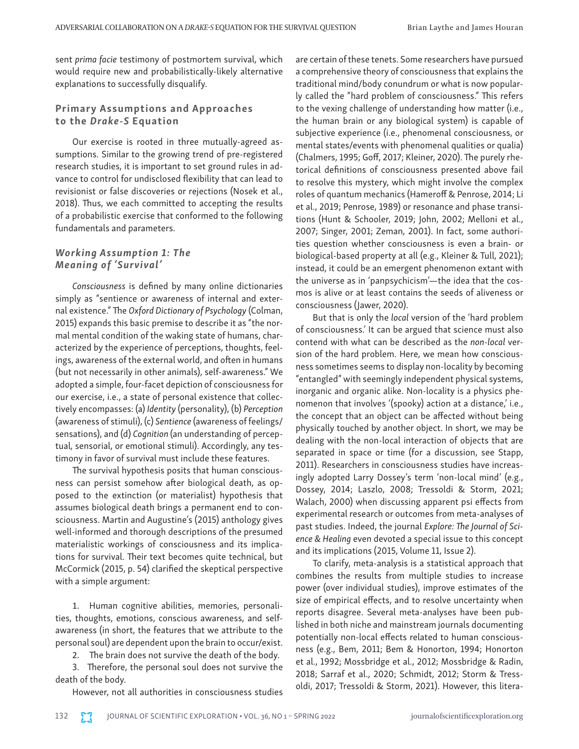sent *prima facie* testimony of postmortem survival, which would require new and probabilistically-likely alternative explanations to successfully disqualify.

## Primary Assumptions and Approaches to the *Drake-S* Equation

Our exercise is rooted in three mutually-agreed assumptions. Similar to the growing trend of pre-registered research studies, it is important to set ground rules in advance to control for undisclosed flexibility that can lead to revisionist or false discoveries or rejections (Nosek et al., 2018). Thus, we each committed to accepting the results of a probabilistic exercise that conformed to the following fundamentals and parameters.

## *Working Assumption 1: The Meaning of 'Survival'*

*Consciousness* is defined by many online dictionaries simply as "sentience or awareness of internal and external existence." The *Oxford Dictionary of Psychology* (Colman, 2015) expands this basic premise to describe it as "the normal mental condition of the waking state of humans, characterized by the experience of perceptions, thoughts, feelings, awareness of the external world, and often in humans (but not necessarily in other animals), self-awareness." We adopted a simple, four-facet depiction of consciousness for our exercise, i.e., a state of personal existence that collectively encompasses: (a) *Identity* (personality), (b) *Perception*  (awareness of stimuli), (c) *Sentience* (awareness of feelings/ sensations), and (d) *Cognition* (an understanding of perceptual, sensorial, or emotional stimuli). Accordingly, any testimony in favor of survival must include these features.

The survival hypothesis posits that human consciousness can persist somehow after biological death, as opposed to the extinction (or materialist) hypothesis that assumes biological death brings a permanent end to consciousness. Martin and Augustine's (2015) anthology gives well-informed and thorough descriptions of the presumed materialistic workings of consciousness and its implications for survival. Their text becomes quite technical, but McCormick (2015, p. 54) clarified the skeptical perspective with a simple argument:

1. Human cognitive abilities, memories, personalities, thoughts, emotions, conscious awareness, and selfawareness (in short, the features that we attribute to the personal soul) are dependent upon the brain to occur/exist.

2. The brain does not survive the death of the body.

3. Therefore, the personal soul does not survive the death of the body.

However, not all authorities in consciousness studies

are certain of these tenets. Some researchers have pursued a comprehensive theory of consciousness that explains the traditional mind/body conundrum or what is now popularly called the "hard problem of consciousness." This refers to the vexing challenge of understanding how matter (i.e., the human brain or any biological system) is capable of subjective experience (i.e., phenomenal consciousness, or mental states/events with phenomenal qualities or qualia) (Chalmers, 1995; Goff, 2017; Kleiner, 2020). The purely rhetorical definitions of consciousness presented above fail to resolve this mystery, which might involve the complex roles of quantum mechanics (Hameroff & Penrose, 2014; Li et al., 2019; Penrose, 1989) or resonance and phase transitions (Hunt & Schooler, 2019; John, 2002; Melloni et al., 2007; Singer, 2001; Zeman, 2001). In fact, some authorities question whether consciousness is even a brain- or biological-based property at all (e.g., Kleiner & Tull, 2021); instead, it could be an emergent phenomenon extant with the universe as in 'panpsychicism'—the idea that the cosmos is alive or at least contains the seeds of aliveness or consciousness (Jawer, 2020).

But that is only the *local* version of the 'hard problem of consciousness.' It can be argued that science must also contend with what can be described as the *non-local* version of the hard problem. Here, we mean how consciousness sometimes seems to display non-locality by becoming "entangled" with seemingly independent physical systems, inorganic and organic alike. Non-locality is a physics phenomenon that involves '(spooky) action at a distance,' i.e., the concept that an object can be affected without being physically touched by another object. In short, we may be dealing with the non-local interaction of objects that are separated in space or time (for a discussion, see Stapp, 2011). Researchers in consciousness studies have increasingly adopted Larry Dossey's term 'non-local mind' (e.g., Dossey, 2014; Laszlo, 2008; Tressoldi & Storm, 2021; Walach, 2000) when discussing apparent psi effects from experimental research or outcomes from meta-analyses of past studies. Indeed, the journal *Explore: The Journal of Science & Healing* even devoted a special issue to this concept and its implications (2015, Volume 11, Issue 2).

To clarify, meta-analysis is a statistical approach that combines the results from multiple studies to increase power (over individual studies), improve estimates of the size of empirical effects, and to resolve uncertainty when reports disagree. Several meta-analyses have been published in both niche and mainstream journals documenting potentially non-local effects related to human consciousness (e.g., Bem, 2011; Bem & Honorton, 1994; Honorton et al., 1992; Mossbridge et al., 2012; Mossbridge & Radin, 2018; Sarraf et al., 2020; Schmidt, 2012; Storm & Tressoldi, 2017; Tressoldi & Storm, 2021). However, this litera-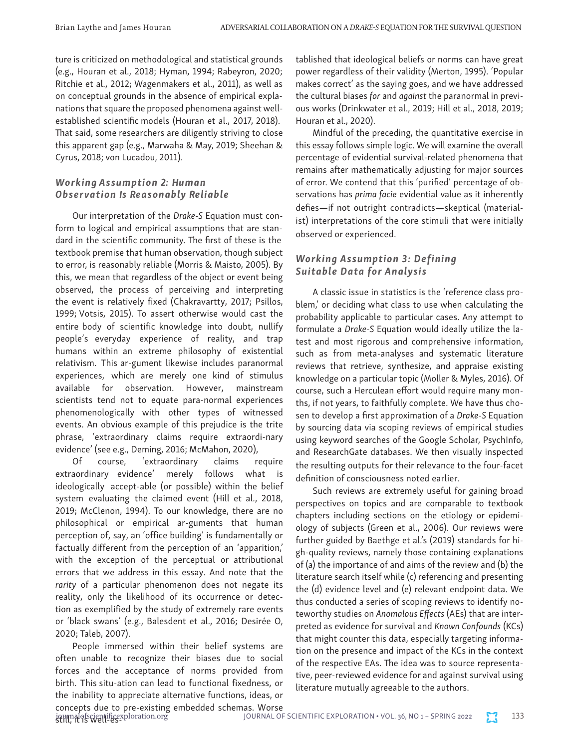ture is criticized on methodological and statistical grounds (e.g., Houran et al., 2018; Hyman, 1994; Rabeyron, 2020; Ritchie et al., 2012; Wagenmakers et al., 2011), as well as on conceptual grounds in the absence of empirical explanations that square the proposed phenomena against wellestablished scientific models (Houran et al., 2017, 2018). That said, some researchers are diligently striving to close this apparent gap (e.g., Marwaha & May, 2019; Sheehan & Cyrus, 2018; von Lucadou, 2011).

## *Working Assumption 2: Human Observation Is Reasonably Reliable*

Our interpretation of the *Drake-S* Equation must conform to logical and empirical assumptions that are standard in the scientific community. The first of these is the textbook premise that human observation, though subject to error, is reasonably reliable (Morris & Maisto, 2005). By this, we mean that regardless of the object or event being observed, the process of perceiving and interpreting the event is relatively fixed (Chakravartty, 2017; Psillos, 1999; Votsis, 2015). To assert otherwise would cast the entire body of scientific knowledge into doubt, nullify people's everyday experience of reality, and trap humans within an extreme philosophy of existential relativism. This ar-gument likewise includes paranormal experiences, which are merely one kind of stimulus available for observation. However, mainstream scientists tend not to equate para-normal experiences phenomenologically with other types of witnessed events. An obvious example of this prejudice is the trite phrase, 'extraordinary claims require extraordi-nary evidence' (see e.g., Deming, 2016; McMahon, 2020),

Of course, 'extraordinary claims require extraordinary evidence' merely follows what is ideologically accept-able (or possible) within the belief system evaluating the claimed event (Hill et al., 2018, 2019; McClenon, 1994). To our knowledge, there are no philosophical or empirical ar-guments that human perception of, say, an 'office building' is fundamentally or factually different from the perception of an 'apparition,' with the exception of the perceptual or attributional errors that we address in this essay. And note that the *rarity* of a particular phenomenon does not negate its reality, only the likelihood of its occurrence or detection as exemplified by the study of extremely rare events or 'black swans' (e.g., Balesdent et al., 2016; Desirée O, 2020; Taleb, 2007).

People immersed within their belief systems are often unable to recognize their biases due to social forces and the acceptance of norms provided from birth. This situ-ation can lead to functional fixedness, or the inability to appreciate alternative functions, ideas, or concepts due to pre-existing embedded schemas. Worse tablished that ideological beliefs or norms can have great power regardless of their validity (Merton, 1995). 'Popular makes correct' as the saying goes, and we have addressed the cultural biases *for* and *against* the paranormal in previous works (Drinkwater et al., 2019; Hill et al., 2018, 2019; Houran et al., 2020).

Mindful of the preceding, the quantitative exercise in this essay follows simple logic. We will examine the overall percentage of evidential survival-related phenomena that remains after mathematically adjusting for major sources of error. We contend that this 'purified' percentage of observations has *prima facie* evidential value as it inherently defies—if not outright contradicts—skeptical (materialist) interpretations of the core stimuli that were initially observed or experienced.

## *Working Assumption 3: Defining Suitable Data for Analysis*

A classic issue in statistics is the 'reference class problem,' or deciding what class to use when calculating the probability applicable to particular cases. Any attempt to formulate a *Drake-S* Equation would ideally utilize the latest and most rigorous and comprehensive information, such as from meta-analyses and systematic literature reviews that retrieve, synthesize, and appraise existing knowledge on a particular topic (Moller & Myles, 2016). Of course, such a Herculean effort would require many months, if not years, to faithfully complete. We have thus chosen to develop a first approximation of a *Drake-S* Equation by sourcing data via scoping reviews of empirical studies using keyword searches of the Google Scholar, PsychInfo, and ResearchGate databases. We then visually inspected the resulting outputs for their relevance to the four-facet definition of consciousness noted earlier.

Such reviews are extremely useful for gaining broad perspectives on topics and are comparable to textbook chapters including sections on the etiology or epidemiology of subjects (Green et al., 2006). Our reviews were further guided by Baethge et al.'s (2019) standards for high-quality reviews, namely those containing explanations of (a) the importance of and aims of the review and (b) the literature search itself while (c) referencing and presenting the (d) evidence level and (e) relevant endpoint data. We thus conducted a series of scoping reviews to identify noteworthy studies on *Anomalous Effects* (AEs) that are interpreted as evidence for survival and *Known Confounds* (KCs) that might counter this data, especially targeting information on the presence and impact of the KCs in the context of the respective EAs. The idea was to source representative, peer-reviewed evidence for and against survival using literature mutually agreeable to the authors.

journal of scientific exploration.org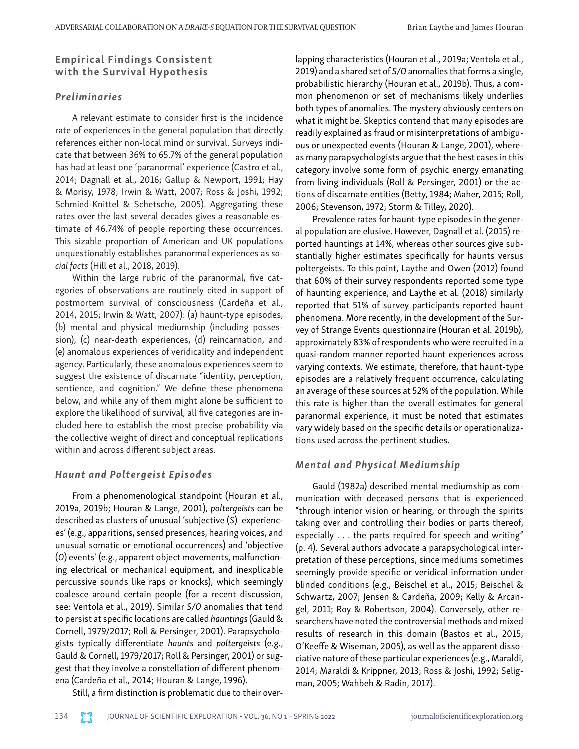## Empirical Findings Consistent with the Survival Hypothesis

## *Preliminaries*

A relevant estimate to consider first is the incidence rate of experiences in the general population that directly references either non-local mind or survival. Surveys indicate that between 36% to 65.7% of the general population has had at least one 'paranormal' experience (Castro et al., 2014; Dagnall et al., 2016; Gallup & Newport, 1991; Hay & Morisy, 1978; Irwin & Watt, 2007; Ross & Joshi, 1992; Schmied-Knittel & Schetsche, 2005). Aggregating these rates over the last several decades gives a reasonable estimate of 46.74% of people reporting these occurrences. This sizable proportion of American and UK populations unquestionably establishes paranormal experiences as *social facts* (Hill et al., 2018, 2019).

Within the large rubric of the paranormal, five categories of observations are routinely cited in support of postmortem survival of consciousness (Cardeña et al., 2014, 2015; Irwin & Watt, 2007): (a) haunt-type episodes, (b) mental and physical mediumship (including possession), (c) near-death experiences, (d) reincarnation, and (e) anomalous experiences of veridicality and independent agency. Particularly, these anomalous experiences seem to suggest the existence of discarnate "identity, perception, sentience, and cognition." We define these phenomena below, and while any of them might alone be sufficient to explore the likelihood of survival, all five categories are included here to establish the most precise probability via the collective weight of direct and conceptual replications within and across different subject areas.

## *Haunt and Poltergeist Episodes*

From a phenomenological standpoint (Houran et al., 2019a, 2019b; Houran & Lange, 2001), *poltergeists* can be described as clusters of unusual 'subjective (*S*) experiences' (e.g., apparitions, sensed presences, hearing voices, and unusual somatic or emotional occurrences) and 'objective (*O*) events' (e.g., apparent object movements, malfunctioning electrical or mechanical equipment, and inexplicable percussive sounds like raps or knocks), which seemingly coalesce around certain people (for a recent discussion, see: Ventola et al., 2019). Similar *S/O* anomalies that tend to persist at specific locations are called *hauntings* (Gauld & Cornell, 1979/2017; Roll & Persinger, 2001). Parapsychologists typically differentiate *haunts* and *poltergeists* (e.g., Gauld & Cornell, 1979/2017; Roll & Persinger, 2001) or suggest that they involve a constellation of different phenomena (Cardeña et al., 2014; Houran & Lange, 1996).

Still, a firm distinction is problematic due to their over-

lapping characteristics (Houran et al., 2019a; Ventola et al., 2019) and a shared set of *S/O* anomalies that forms a single, probabilistic hierarchy (Houran et al., 2019b). Thus, a common phenomenon or set of mechanisms likely underlies both types of anomalies. The mystery obviously centers on what it might be. Skeptics contend that many episodes are readily explained as fraud or misinterpretations of ambiguous or unexpected events (Houran & Lange, 2001), whereas many parapsychologists argue that the best cases in this category involve some form of psychic energy emanating from living individuals (Roll & Persinger, 2001) or the actions of discarnate entities (Betty, 1984; Maher, 2015; Roll, 2006; Stevenson, 1972; Storm & Tilley, 2020).

Prevalence rates for haunt-type episodes in the general population are elusive. However, Dagnall et al. (2015) reported hauntings at 14%, whereas other sources give substantially higher estimates specifically for haunts versus poltergeists. To this point, Laythe and Owen (2012) found that 60% of their survey respondents reported some type of haunting experience, and Laythe et al. (2018) similarly reported that 51% of survey participants reported haunt phenomena. More recently, in the development of the Survey of Strange Events questionnaire (Houran et al. 2019b), approximately 83% of respondents who were recruited in a quasi-random manner reported haunt experiences across varying contexts. We estimate, therefore, that haunt-type episodes are a relatively frequent occurrence, calculating an average of these sources at 52% of the population. While this rate is higher than the overall estimates for general paranormal experience, it must be noted that estimates vary widely based on the specific details or operationalizations used across the pertinent studies.

## *Mental and Physical Mediumship*

Gauld (1982a) described mental mediumship as communication with deceased persons that is experienced "through interior vision or hearing, or through the spirits taking over and controlling their bodies or parts thereof, especially . . . the parts required for speech and writing" (p. 4). Several authors advocate a parapsychological interpretation of these perceptions, since mediums sometimes seemingly provide specific or veridical information under blinded conditions (e.g., Beischel et al., 2015; Beischel & Schwartz, 2007; Jensen & Cardeña, 2009; Kelly & Arcangel, 2011; Roy & Robertson, 2004). Conversely, other researchers have noted the controversial methods and mixed results of research in this domain (Bastos et al., 2015; O'Keeffe & Wiseman, 2005), as well as the apparent dissociative nature of these particular experiences (e.g., Maraldi, 2014; Maraldi & Krippner, 2013; Ross & Joshi, 1992; Seligman, 2005; Wahbeh & Radin, 2017).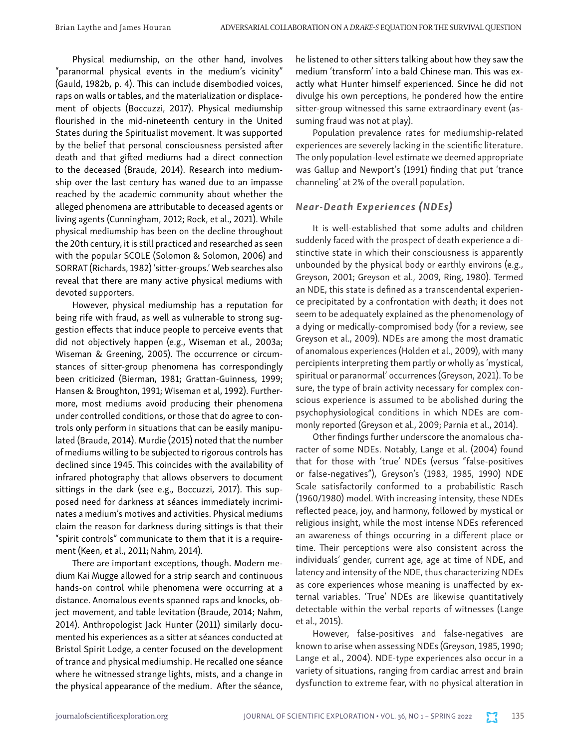Physical mediumship, on the other hand, involves "paranormal physical events in the medium's vicinity" (Gauld, 1982b, p. 4). This can include disembodied voices, raps on walls or tables, and the materialization or displacement of objects (Boccuzzi, 2017). Physical mediumship flourished in the mid-nineteenth century in the United States during the Spiritualist movement. It was supported by the belief that personal consciousness persisted after death and that gifted mediums had a direct connection to the deceased (Braude, 2014). Research into mediumship over the last century has waned due to an impasse reached by the academic community about whether the alleged phenomena are attributable to deceased agents or living agents (Cunningham, 2012; Rock, et al., 2021). While physical mediumship has been on the decline throughout the 20th century, it is still practiced and researched as seen with the popular SCOLE (Solomon & Solomon, 2006) and SORRAT (Richards, 1982) 'sitter-groups.' Web searches also reveal that there are many active physical mediums with devoted supporters.

However, physical mediumship has a reputation for being rife with fraud, as well as vulnerable to strong suggestion effects that induce people to perceive events that did not objectively happen (e.g., Wiseman et al., 2003a; Wiseman & Greening, 2005). The occurrence or circumstances of sitter-group phenomena has correspondingly been criticized (Bierman, 1981; Grattan-Guinness, 1999; Hansen & Broughton, 1991; Wiseman et al, 1992). Furthermore, most mediums avoid producing their phenomena under controlled conditions, or those that do agree to controls only perform in situations that can be easily manipulated (Braude, 2014). Murdie (2015) noted that the number of mediums willing to be subjected to rigorous controls has declined since 1945. This coincides with the availability of infrared photography that allows observers to document sittings in the dark (see e.g., Boccuzzi, 2017). This supposed need for darkness at séances immediately incriminates a medium's motives and activities. Physical mediums claim the reason for darkness during sittings is that their "spirit controls" communicate to them that it is a requirement (Keen, et al., 2011; Nahm, 2014).

There are important exceptions, though. Modern medium Kai Mugge allowed for a strip search and continuous hands-on control while phenomena were occurring at a distance. Anomalous events spanned raps and knocks, object movement, and table levitation (Braude, 2014; Nahm, 2014). Anthropologist Jack Hunter (2011) similarly documented his experiences as a sitter at séances conducted at Bristol Spirit Lodge, a center focused on the development of trance and physical mediumship. He recalled one séance where he witnessed strange lights, mists, and a change in the physical appearance of the medium. After the séance,

he listened to other sitters talking about how they saw the medium 'transform' into a bald Chinese man. This was exactly what Hunter himself experienced. Since he did not divulge his own perceptions, he pondered how the entire sitter-group witnessed this same extraordinary event (assuming fraud was not at play).

Population prevalence rates for mediumship-related experiences are severely lacking in the scientific literature. The only population-level estimate we deemed appropriate was Gallup and Newport's (1991) finding that put 'trance channeling' at 2% of the overall population.

## *Near-Death Experiences (NDEs)*

It is well-established that some adults and children suddenly faced with the prospect of death experience a distinctive state in which their consciousness is apparently unbounded by the physical body or earthly environs (e.g., Greyson, 2001; Greyson et al., 2009, Ring, 1980). Termed an NDE, this state is defined as a transcendental experience precipitated by a confrontation with death; it does not seem to be adequately explained as the phenomenology of a dying or medically-compromised body (for a review, see Greyson et al., 2009). NDEs are among the most dramatic of anomalous experiences (Holden et al., 2009), with many percipients interpreting them partly or wholly as 'mystical, spiritual or paranormal' occurrences (Greyson, 2021). To be sure, the type of brain activity necessary for complex conscious experience is assumed to be abolished during the psychophysiological conditions in which NDEs are commonly reported (Greyson et al., 2009; Parnia et al., 2014).

Other findings further underscore the anomalous character of some NDEs. Notably, Lange et al. (2004) found that for those with 'true' NDEs (versus "false-positives or false-negatives"), Greyson's (1983, 1985, 1990) NDE Scale satisfactorily conformed to a probabilistic Rasch (1960/1980) model. With increasing intensity, these NDEs reflected peace, joy, and harmony, followed by mystical or religious insight, while the most intense NDEs referenced an awareness of things occurring in a different place or time. Their perceptions were also consistent across the individuals' gender, current age, age at time of NDE, and latency and intensity of the NDE, thus characterizing NDEs as core experiences whose meaning is unaffected by external variables. 'True' NDEs are likewise quantitatively detectable within the verbal reports of witnesses (Lange et al., 2015).

However, false-positives and false-negatives are known to arise when assessing NDEs (Greyson, 1985, 1990; Lange et al., 2004). NDE-type experiences also occur in a variety of situations, ranging from cardiac arrest and brain dysfunction to extreme fear, with no physical alteration in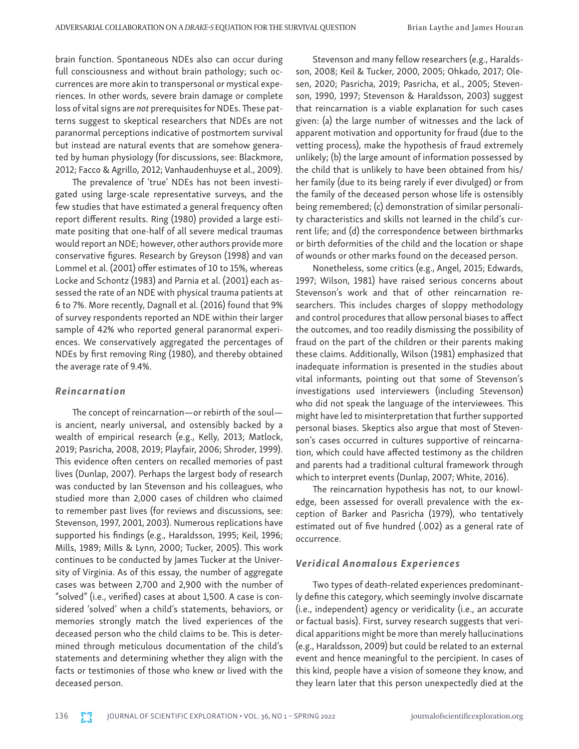brain function. Spontaneous NDEs also can occur during full consciousness and without brain pathology; such occurrences are more akin to transpersonal or mystical experiences. In other words, severe brain damage or complete loss of vital signs are *not* prerequisites for NDEs. These patterns suggest to skeptical researchers that NDEs are not paranormal perceptions indicative of postmortem survival but instead are natural events that are somehow generated by human physiology (for discussions, see: Blackmore, 2012; Facco & Agrillo, 2012; Vanhaudenhuyse et al., 2009).

The prevalence of 'true' NDEs has not been investigated using large-scale representative surveys, and the few studies that have estimated a general frequency often report different results. Ring (1980) provided a large estimate positing that one-half of all severe medical traumas would report an NDE; however, other authors provide more conservative figures. Research by Greyson (1998) and van Lommel et al. (2001) offer estimates of 10 to 15%, whereas Locke and Schontz (1983) and Parnia et al. (2001) each assessed the rate of an NDE with physical trauma patients at 6 to 7%. More recently, Dagnall et al. (2016) found that 9% of survey respondents reported an NDE within their larger sample of 42% who reported general paranormal experiences. We conservatively aggregated the percentages of NDEs by first removing Ring (1980), and thereby obtained the average rate of 9.4%.

#### *Reincarnation*

The concept of reincarnation—or rebirth of the soul is ancient, nearly universal, and ostensibly backed by a wealth of empirical research (e.g., Kelly, 2013; Matlock, 2019; Pasricha, 2008, 2019; Playfair, 2006; Shroder, 1999). This evidence often centers on recalled memories of past lives (Dunlap, 2007). Perhaps the largest body of research was conducted by Ian Stevenson and his colleagues, who studied more than 2,000 cases of children who claimed to remember past lives (for reviews and discussions, see: Stevenson, 1997, 2001, 2003). Numerous replications have supported his findings (e.g., Haraldsson, 1995; Keil, 1996; Mills, 1989; Mills & Lynn, 2000; Tucker, 2005). This work continues to be conducted by James Tucker at the University of Virginia. As of this essay, the number of aggregate cases was between 2,700 and 2,900 with the number of "solved" (i.e., verified) cases at about 1,500. A case is considered 'solved' when a child's statements, behaviors, or memories strongly match the lived experiences of the deceased person who the child claims to be. This is determined through meticulous documentation of the child's statements and determining whether they align with the facts or testimonies of those who knew or lived with the deceased person.

Stevenson and many fellow researchers (e.g., Haraldsson, 2008; Keil & Tucker, 2000, 2005; Ohkado, 2017; Olesen, 2020; Pasricha, 2019; Pasricha, et al., 2005; Stevenson, 1990, 1997; Stevenson & Haraldsson, 2003) suggest that reincarnation is a viable explanation for such cases given: (a) the large number of witnesses and the lack of apparent motivation and opportunity for fraud (due to the vetting process), make the hypothesis of fraud extremely unlikely; (b) the large amount of information possessed by the child that is unlikely to have been obtained from his/ her family (due to its being rarely if ever divulged) or from the family of the deceased person whose life is ostensibly being remembered; (c) demonstration of similar personality characteristics and skills not learned in the child's current life; and (d) the correspondence between birthmarks or birth deformities of the child and the location or shape of wounds or other marks found on the deceased person.

Nonetheless, some critics (e.g., Angel, 2015; Edwards, 1997; Wilson, 1981) have raised serious concerns about Stevenson's work and that of other reincarnation researchers. This includes charges of sloppy methodology and control procedures that allow personal biases to affect the outcomes, and too readily dismissing the possibility of fraud on the part of the children or their parents making these claims. Additionally, Wilson (1981) emphasized that inadequate information is presented in the studies about vital informants, pointing out that some of Stevenson's investigations used interviewers (including Stevenson) who did not speak the language of the interviewees. This might have led to misinterpretation that further supported personal biases. Skeptics also argue that most of Stevenson's cases occurred in cultures supportive of reincarnation, which could have affected testimony as the children and parents had a traditional cultural framework through which to interpret events (Dunlap, 2007; White, 2016).

The reincarnation hypothesis has not, to our knowledge, been assessed for overall prevalence with the exception of Barker and Pasricha (1979), who tentatively estimated out of five hundred (.002) as a general rate of occurrence.

## *Veridical Anomalous Experiences*

Two types of death-related experiences predominantly define this category, which seemingly involve discarnate (i.e., independent) agency or veridicality (i.e., an accurate or factual basis). First, survey research suggests that veridical apparitions might be more than merely hallucinations (e.g., Haraldsson, 2009) but could be related to an external event and hence meaningful to the percipient. In cases of this kind, people have a vision of someone they know, and they learn later that this person unexpectedly died at the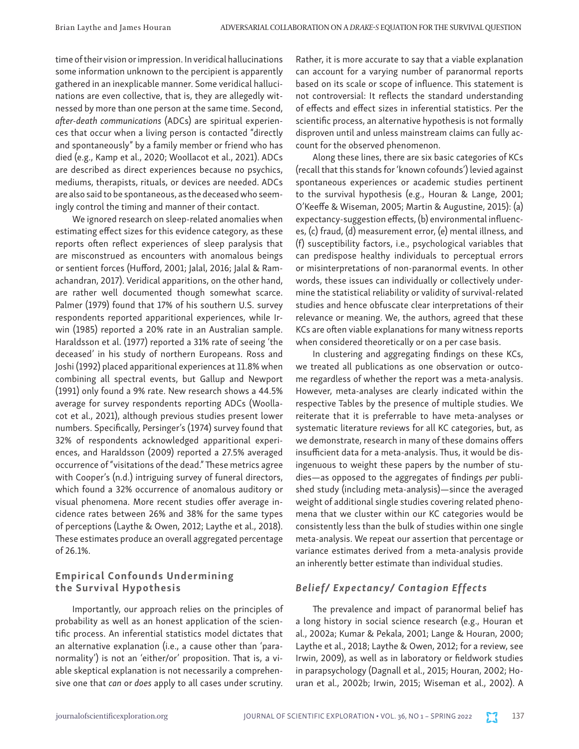time of their vision or impression. In veridical hallucinations some information unknown to the percipient is apparently gathered in an inexplicable manner. Some veridical hallucinations are even collective, that is, they are allegedly witnessed by more than one person at the same time. Second, *after-death communications* (ADCs) are spiritual experiences that occur when a living person is contacted "directly and spontaneously" by a family member or friend who has died (e.g., Kamp et al., 2020; Woollacot et al., 2021). ADCs are described as direct experiences because no psychics, mediums, therapists, rituals, or devices are needed. ADCs are also said to be spontaneous, as the deceased who seemingly control the timing and manner of their contact.

We ignored research on sleep-related anomalies when estimating effect sizes for this evidence category, as these reports often reflect experiences of sleep paralysis that are misconstrued as encounters with anomalous beings or sentient forces (Hufford, 2001; Jalal, 2016; Jalal & Ramachandran, 2017). Veridical apparitions, on the other hand, are rather well documented though somewhat scarce. Palmer (1979) found that 17% of his southern U.S. survey respondents reported apparitional experiences, while Irwin (1985) reported a 20% rate in an Australian sample. Haraldsson et al. (1977) reported a 31% rate of seeing 'the deceased' in his study of northern Europeans. Ross and Joshi (1992) placed apparitional experiences at 11.8% when combining all spectral events, but Gallup and Newport (1991) only found a 9% rate. New research shows a 44.5% average for survey respondents reporting ADCs (Woollacot et al., 2021), although previous studies present lower numbers. Specifically, Persinger's (1974) survey found that 32% of respondents acknowledged apparitional experiences, and Haraldsson (2009) reported a 27.5% averaged occurrence of "visitations of the dead." These metrics agree with Cooper's (n.d.) intriguing survey of funeral directors, which found a 32% occurrence of anomalous auditory or visual phenomena. More recent studies offer average incidence rates between 26% and 38% for the same types of perceptions (Laythe & Owen, 2012; Laythe et al., 2018). These estimates produce an overall aggregated percentage of 26.1%.

## Empirical Confounds Undermining the Survival Hypothesis

Importantly, our approach relies on the principles of probability as well as an honest application of the scientific process. An inferential statistics model dictates that an alternative explanation (i.e., a cause other than 'paranormality') is not an 'either/or' proposition. That is, a viable skeptical explanation is not necessarily a comprehensive one that *can* or *does* apply to all cases under scrutiny.

Rather, it is more accurate to say that a viable explanation can account for a varying number of paranormal reports based on its scale or scope of influence. This statement is not controversial: It reflects the standard understanding of effects and effect sizes in inferential statistics. Per the scientific process, an alternative hypothesis is not formally disproven until and unless mainstream claims can fully account for the observed phenomenon.

Along these lines, there are six basic categories of KCs (recall that this stands for 'known cofounds') levied against spontaneous experiences or academic studies pertinent to the survival hypothesis (e.g., Houran & Lange, 2001; O'Keeffe & Wiseman, 2005; Martin & Augustine, 2015): (a) expectancy-suggestion effects, (b) environmental influences, (c) fraud, (d) measurement error, (e) mental illness, and (f) susceptibility factors, i.e., psychological variables that can predispose healthy individuals to perceptual errors or misinterpretations of non-paranormal events. In other words, these issues can individually or collectively undermine the statistical reliability or validity of survival-related studies and hence obfuscate clear interpretations of their relevance or meaning. We, the authors, agreed that these KCs are often viable explanations for many witness reports when considered theoretically or on a per case basis.

In clustering and aggregating findings on these KCs, we treated all publications as one observation or outcome regardless of whether the report was a meta-analysis. However, meta-analyses are clearly indicated within the respective Tables by the presence of multiple studies. We reiterate that it is preferrable to have meta-analyses or systematic literature reviews for all KC categories, but, as we demonstrate, research in many of these domains offers insufficient data for a meta-analysis. Thus, it would be disingenuous to weight these papers by the number of studies—as opposed to the aggregates of findings *per* published study (including meta-analysis)—since the averaged weight of additional single studies covering related phenomena that we cluster within our KC categories would be consistently less than the bulk of studies within one single meta-analysis. We repeat our assertion that percentage or variance estimates derived from a meta-analysis provide an inherently better estimate than individual studies.

## *Belief/ Expectancy/ Contagion Effects*

The prevalence and impact of paranormal belief has a long history in social science research (e.g., Houran et al., 2002a; Kumar & Pekala, 2001; Lange & Houran, 2000; Laythe et al., 2018; Laythe & Owen, 2012; for a review, see Irwin, 2009), as well as in laboratory or fieldwork studies in parapsychology (Dagnall et al., 2015; Houran, 2002; Houran et al., 2002b; Irwin, 2015; Wiseman et al., 2002). A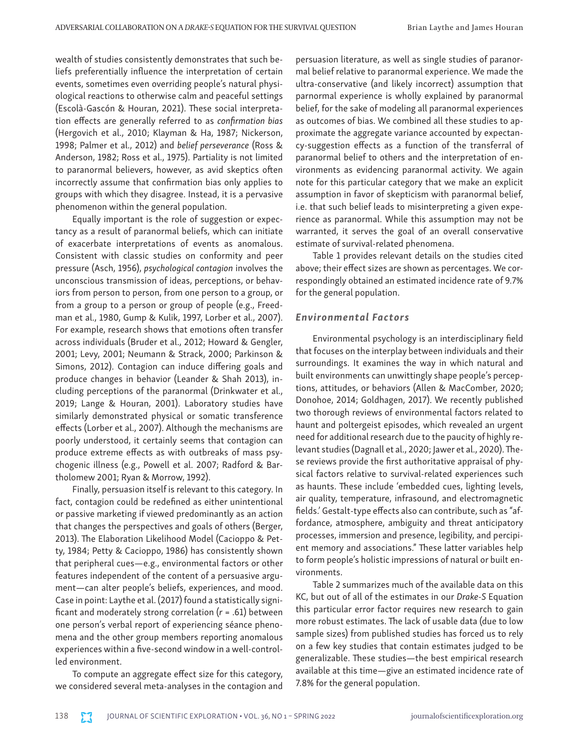wealth of studies consistently demonstrates that such beliefs preferentially influence the interpretation of certain events, sometimes even overriding people's natural physiological reactions to otherwise calm and peaceful settings (Escolà-Gascón & Houran, 2021). These social interpretation effects are generally referred to as *confirmation bias* (Hergovich et al., 2010; Klayman & Ha, 1987; Nickerson, 1998; Palmer et al., 2012) and *belief perseverance* (Ross & Anderson, 1982; Ross et al., 1975). Partiality is not limited to paranormal believers, however, as avid skeptics often incorrectly assume that confirmation bias only applies to groups with which they disagree. Instead, it is a pervasive phenomenon within the general population.

Equally important is the role of suggestion or expectancy as a result of paranormal beliefs, which can initiate of exacerbate interpretations of events as anomalous. Consistent with classic studies on conformity and peer pressure (Asch, 1956), *psychological contagion* involves the unconscious transmission of ideas, perceptions, or behaviors from person to person, from one person to a group, or from a group to a person or group of people (e.g., Freedman et al., 1980, Gump & Kulik, 1997, Lorber et al., 2007). For example, research shows that emotions often transfer across individuals (Bruder et al., 2012; Howard & Gengler, 2001; Levy, 2001; Neumann & Strack, 2000; Parkinson & Simons, 2012). Contagion can induce differing goals and produce changes in behavior (Leander & Shah 2013), including perceptions of the paranormal (Drinkwater et al., 2019; Lange & Houran, 2001). Laboratory studies have similarly demonstrated physical or somatic transference effects (Lorber et al., 2007). Although the mechanisms are poorly understood, it certainly seems that contagion can produce extreme effects as with outbreaks of mass psychogenic illness (e.g., Powell et al. 2007; Radford & Bartholomew 2001; Ryan & Morrow, 1992).

Finally, persuasion itself is relevant to this category. In fact, contagion could be redefined as either unintentional or passive marketing if viewed predominantly as an action that changes the perspectives and goals of others (Berger, 2013). The Elaboration Likelihood Model (Cacioppo & Petty, 1984; Petty & Cacioppo, 1986) has consistently shown that peripheral cues—e.g., environmental factors or other features independent of the content of a persuasive argument—can alter people's beliefs, experiences, and mood. Case in point: Laythe et al. (2017) found a statistically significant and moderately strong correlation (*r* = .61) between one person's verbal report of experiencing séance phenomena and the other group members reporting anomalous experiences within a five-second window in a well-controlled environment.

To compute an aggregate effect size for this category, we considered several meta-analyses in the contagion and

persuasion literature, as well as single studies of paranormal belief relative to paranormal experience. We made the ultra-conservative (and likely incorrect) assumption that parnormal experience is wholly explained by paranormal belief, for the sake of modeling all paranormal experiences as outcomes of bias. We combined all these studies to approximate the aggregate variance accounted by expectancy-suggestion effects as a function of the transferral of paranormal belief to others and the interpretation of environments as evidencing paranormal activity. We again note for this particular category that we make an explicit assumption in favor of skepticism with paranormal belief, i.e. that such belief leads to misinterpreting a given experience as paranormal. While this assumption may not be warranted, it serves the goal of an overall conservative estimate of survival-related phenomena.

Table 1 provides relevant details on the studies cited above; their effect sizes are shown as percentages. We correspondingly obtained an estimated incidence rate of 9.7% for the general population.

### *Environmental Factors*

Environmental psychology is an interdisciplinary field that focuses on the interplay between individuals and their surroundings. It examines the way in which natural and built environments can unwittingly shape people's perceptions, attitudes, or behaviors (Allen & MacComber, 2020; Donohoe, 2014; Goldhagen, 2017). We recently published two thorough reviews of environmental factors related to haunt and poltergeist episodes, which revealed an urgent need for additional research due to the paucity of highly relevant studies (Dagnall et al., 2020; Jawer et al., 2020). These reviews provide the first authoritative appraisal of physical factors relative to survival-related experiences such as haunts. These include 'embedded cues, lighting levels, air quality, temperature, infrasound, and electromagnetic fields.' Gestalt-type effects also can contribute, such as "affordance, atmosphere, ambiguity and threat anticipatory processes, immersion and presence, legibility, and percipient memory and associations." These latter variables help to form people's holistic impressions of natural or built environments.

Table 2 summarizes much of the available data on this KC, but out of all of the estimates in our *Drake-S* Equation this particular error factor requires new research to gain more robust estimates. The lack of usable data (due to low sample sizes) from published studies has forced us to rely on a few key studies that contain estimates judged to be generalizable. These studies—the best empirical research available at this time—give an estimated incidence rate of 7.8% for the general population.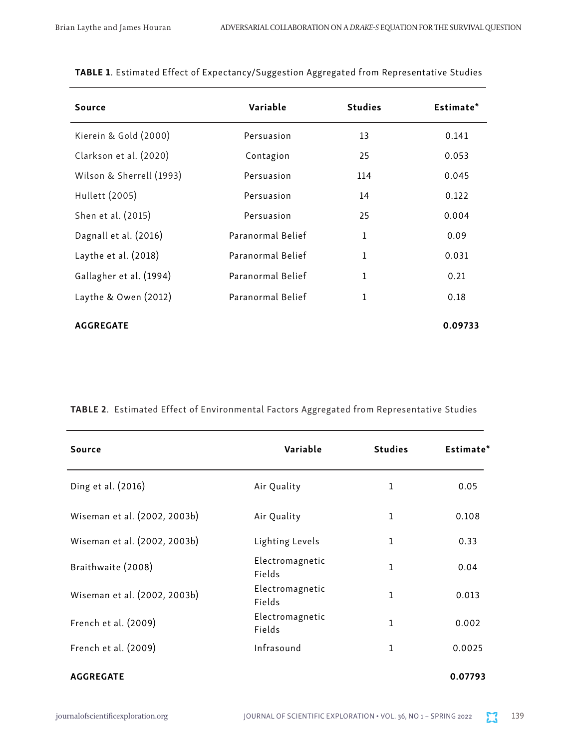| Source                   | Variable          | <b>Studies</b> | Estimate* |
|--------------------------|-------------------|----------------|-----------|
| Kierein & Gold (2000)    | Persuasion        | 13             | 0.141     |
| Clarkson et al. (2020)   | Contagion         | 25             | 0.053     |
| Wilson & Sherrell (1993) | Persuasion        | 114            | 0.045     |
| Hullett (2005)           | Persuasion        | 14             | 0.122     |
| Shen et al. (2015)       | Persuasion        | 25             | 0.004     |
| Dagnall et al. (2016)    | Paranormal Belief | $\mathbf{1}$   | 0.09      |
| Laythe et al. $(2018)$   | Paranormal Belief | 1              | 0.031     |
| Gallagher et al. (1994)  | Paranormal Belief | 1              | 0.21      |
| Laythe & Owen (2012)     | Paranormal Belief | 1              | 0.18      |
| <b>AGGREGATE</b>         |                   |                | 0.09733   |

|  |  | TABLE 1. Estimated Effect of Expectancy/Suggestion Aggregated from Representative Studies |
|--|--|-------------------------------------------------------------------------------------------|
|  |  |                                                                                           |

TABLE 2. Estimated Effect of Environmental Factors Aggregated from Representative Studies

| Source                       | Variable                  | <b>Studies</b> | Estimate* |
|------------------------------|---------------------------|----------------|-----------|
| Ding et al. (2016)           | Air Quality               | 1              | 0.05      |
| Wiseman et al. (2002, 2003b) | Air Quality               | $\mathbf{1}$   | 0.108     |
| Wiseman et al. (2002, 2003b) | Lighting Levels           | $\mathbf{1}$   | 0.33      |
| Braithwaite (2008)           | Electromagnetic<br>Fields | 1              | 0.04      |
| Wiseman et al. (2002, 2003b) | Electromagnetic<br>Fields | 1              | 0.013     |
| French et al. (2009)         | Electromagnetic<br>Fields | 1              | 0.002     |
| French et al. (2009)         | Infrasound                | 1              | 0.0025    |
| <b>AGGREGATE</b>             |                           |                | 0.07793   |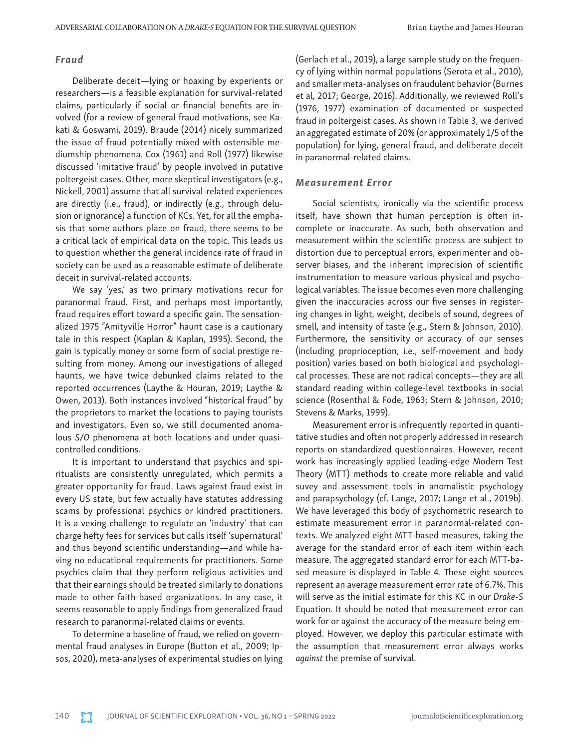#### *Fraud*

Deliberate deceit—lying or hoaxing by experients or researchers—is a feasible explanation for survival-related claims, particularly if social or financial benefits are involved (for a review of general fraud motivations, see Kakati & Goswami, 2019). Braude (2014) nicely summarized the issue of fraud potentially mixed with ostensible mediumship phenomena. Cox (1961) and Roll (1977) likewise discussed 'imitative fraud' by people involved in putative poltergeist cases. Other, more skeptical investigators (e.g., Nickell, 2001) assume that all survival-related experiences are directly (i.e., fraud), or indirectly (e.g., through delusion or ignorance) a function of KCs. Yet, for all the emphasis that some authors place on fraud, there seems to be a critical lack of empirical data on the topic. This leads us to question whether the general incidence rate of fraud in society can be used as a reasonable estimate of deliberate deceit in survival-related accounts.

We say 'yes,' as two primary motivations recur for paranormal fraud. First, and perhaps most importantly, fraud requires effort toward a specific gain. The sensationalized 1975 "Amityville Horror" haunt case is a cautionary tale in this respect (Kaplan & Kaplan, 1995). Second, the gain is typically money or some form of social prestige resulting from money. Among our investigations of alleged haunts, we have twice debunked claims related to the reported occurrences (Laythe & Houran, 2019; Laythe & Owen, 2013). Both instances involved "historical fraud" by the proprietors to market the locations to paying tourists and investigators. Even so, we still documented anomalous *S/O* phenomena at both locations and under quasicontrolled conditions.

It is important to understand that psychics and spiritualists are consistently unregulated, which permits a greater opportunity for fraud. Laws against fraud exist in every US state, but few actually have statutes addressing scams by professional psychics or kindred practitioners. It is a vexing challenge to regulate an 'industry' that can charge hefty fees for services but calls itself 'supernatural' and thus beyond scientific understanding—and while having no educational requirements for practitioners. Some psychics claim that they perform religious activities and that their earnings should be treated similarly to donations made to other faith-based organizations. In any case, it seems reasonable to apply findings from generalized fraud research to paranormal-related claims or events.

To determine a baseline of fraud, we relied on governmental fraud analyses in Europe (Button et al., 2009; Ipsos, 2020), meta-analyses of experimental studies on lying (Gerlach et al., 2019), a large sample study on the frequency of lying within normal populations (Serota et al., 2010), and smaller meta-analyses on fraudulent behavior (Burnes et al, 2017; George, 2016). Additionally, we reviewed Roll's (1976, 1977) examination of documented or suspected fraud in poltergeist cases. As shown in Table 3, we derived an aggregated estimate of 20% (or approximately 1/5 of the population) for lying, general fraud, and deliberate deceit in paranormal-related claims.

#### *Measurement Error*

Social scientists, ironically via the scientific process itself, have shown that human perception is often incomplete or inaccurate. As such, both observation and measurement within the scientific process are subject to distortion due to perceptual errors, experimenter and observer biases, and the inherent imprecision of scientific instrumentation to measure various physical and psychological variables. The issue becomes even more challenging given the inaccuracies across our five senses in registering changes in light, weight, decibels of sound, degrees of smell, and intensity of taste (e.g., Stern & Johnson, 2010). Furthermore, the sensitivity or accuracy of our senses (including proprioception, i.e., self-movement and body position) varies based on both biological and psychological processes. These are not radical concepts—they are all standard reading within college-level textbooks in social science (Rosenthal & Fode, 1963; Stern & Johnson, 2010; Stevens & Marks, 1999).

Measurement error is infrequently reported in quantitative studies and often not properly addressed in research reports on standardized questionnaires. However, recent work has increasingly applied leading-edge Modern Test Theory (MTT) methods to create more reliable and valid suvey and assessment tools in anomalistic psychology and parapsychology (cf. Lange, 2017; Lange et al., 2019b). We have leveraged this body of psychometric research to estimate measurement error in paranormal-related contexts. We analyzed eight MTT-based measures, taking the average for the standard error of each item within each measure. The aggregated standard error for each MTT-based measure is displayed in Table 4. These eight sources represent an average measurement error rate of 6.7%. This will serve as the initial estimate for this KC in our *Drake*-*S* Equation. It should be noted that measurement error can work for or against the accuracy of the measure being employed. However, we deploy this particular estimate with the assumption that measurement error always works *against* the premise of survival.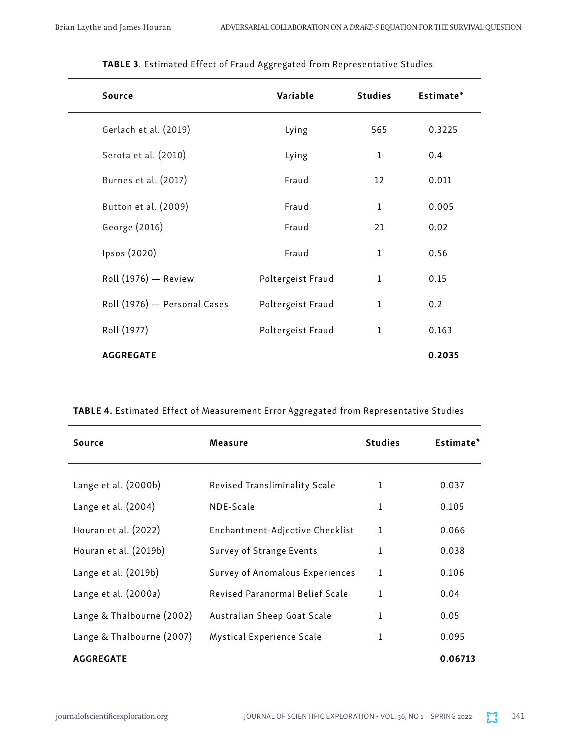| <b>Source</b>                | Variable          | <b>Studies</b> | Estimate* |
|------------------------------|-------------------|----------------|-----------|
| Gerlach et al. (2019)        | Lying             | 565            | 0.3225    |
| Serota et al. (2010)         | Lying             | $\mathbf{1}$   | 0.4       |
| Burnes et al. (2017)         | Fraud             | 12             | 0.011     |
| Button et al. (2009)         | Fraud             | $1\,$          | 0.005     |
| George (2016)                | Fraud             | 21             | 0.02      |
| Ipsos (2020)                 | Fraud             | $1\,$          | 0.56      |
| Roll (1976) - Review         | Poltergeist Fraud | $\mathbf{1}$   | 0.15      |
| Roll (1976) - Personal Cases | Poltergeist Fraud | $\mathbf{1}$   | 0.2       |
| Roll (1977)                  | Poltergeist Fraud | $\mathbf{1}$   | 0.163     |
| <b>AGGREGATE</b>             |                   |                | 0.2035    |

## TABLE 3. Estimated Effect of Fraud Aggregated from Representative Studies

TABLE 4. Estimated Effect of Measurement Error Aggregated from Representative Studies

| Source                    | Measure                         | <b>Studies</b> | Estimate* |
|---------------------------|---------------------------------|----------------|-----------|
|                           |                                 |                |           |
| Lange et al. (2000b)      | Revised Transliminality Scale   | 1              | 0.037     |
| Lange et al. (2004)       | NDE-Scale                       | 1              | 0.105     |
| Houran et al. (2022)      | Enchantment-Adjective Checklist | 1              | 0.066     |
| Houran et al. (2019b)     | Survey of Strange Events        | 1              | 0.038     |
| Lange et al. (2019b)      | Survey of Anomalous Experiences | 1              | 0.106     |
| Lange et al. (2000a)      | Revised Paranormal Belief Scale | 1              | 0.04      |
| Lange & Thalbourne (2002) | Australian Sheep Goat Scale     | 1              | 0.05      |
| Lange & Thalbourne (2007) | Mystical Experience Scale       | 1              | 0.095     |
| <b>AGGREGATE</b>          |                                 |                | 0.06713   |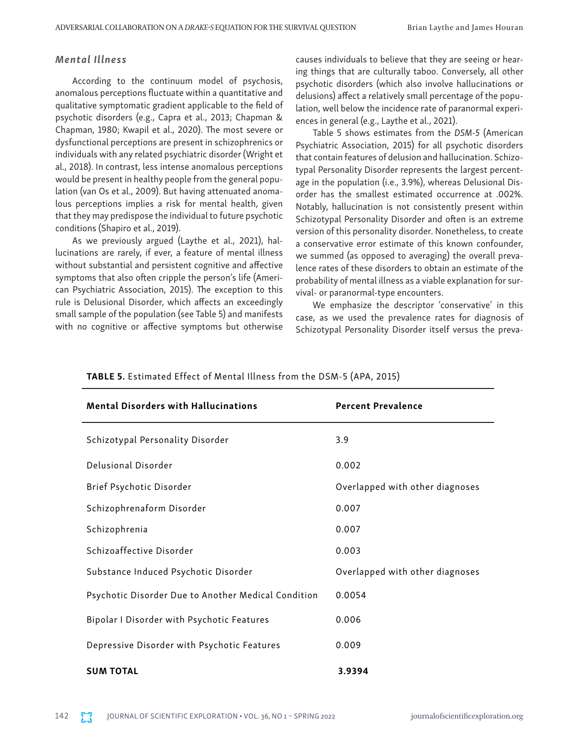## *Mental Illness*

According to the continuum model of psychosis, anomalous perceptions fluctuate within a quantitative and qualitative symptomatic gradient applicable to the field of psychotic disorders (e.g., Capra et al., 2013; Chapman & Chapman, 1980; Kwapil et al., 2020). The most severe or dysfunctional perceptions are present in schizophrenics or individuals with any related psychiatric disorder (Wright et al., 2018). In contrast, less intense anomalous perceptions would be present in healthy people from the general population (van Os et al., 2009). But having attenuated anomalous perceptions implies a risk for mental health, given that they may predispose the individual to future psychotic conditions (Shapiro et al., 2019).

As we previously argued (Laythe et al., 2021), hallucinations are rarely, if ever, a feature of mental illness without substantial and persistent cognitive and affective symptoms that also often cripple the person's life (American Psychiatric Association, 2015). The exception to this rule is Delusional Disorder, which affects an exceedingly small sample of the population (see Table 5) and manifests with no cognitive or affective symptoms but otherwise

causes individuals to believe that they are seeing or hearing things that are culturally taboo. Conversely, all other psychotic disorders (which also involve hallucinations or delusions) affect a relatively small percentage of the population, well below the incidence rate of paranormal experiences in general (e.g., Laythe et al., 2021).

Table 5 shows estimates from the *DSM-5* (American Psychiatric Association, 2015) for all psychotic disorders that contain features of delusion and hallucination. Schizotypal Personality Disorder represents the largest percentage in the population (i.e., 3.9%), whereas Delusional Disorder has the smallest estimated occurrence at .002%. Notably, hallucination is not consistently present within Schizotypal Personality Disorder and often is an extreme version of this personality disorder. Nonetheless, to create a conservative error estimate of this known confounder, we summed (as opposed to averaging) the overall prevalence rates of these disorders to obtain an estimate of the probability of mental illness as a viable explanation for survival- or paranormal-type encounters.

We emphasize the descriptor 'conservative' in this case, as we used the prevalence rates for diagnosis of Schizotypal Personality Disorder itself versus the preva-

| <b>Mental Disorders with Hallucinations</b>         | <b>Percent Prevalence</b>       |
|-----------------------------------------------------|---------------------------------|
| Schizotypal Personality Disorder                    | 3.9                             |
| Delusional Disorder                                 | 0.002                           |
| Brief Psychotic Disorder                            | Overlapped with other diagnoses |
| Schizophrenaform Disorder                           | 0.007                           |
| Schizophrenia                                       | 0.007                           |
| Schizoaffective Disorder                            | 0.003                           |
| Substance Induced Psychotic Disorder                | Overlapped with other diagnoses |
| Psychotic Disorder Due to Another Medical Condition | 0.0054                          |
| Bipolar I Disorder with Psychotic Features          | 0.006                           |
| Depressive Disorder with Psychotic Features         | 0.009                           |
| <b>SUM TOTAL</b>                                    | 3.9394                          |

#### TABLE 5. Estimated Effect of Mental Illness from the DSM-5 (APA, 2015)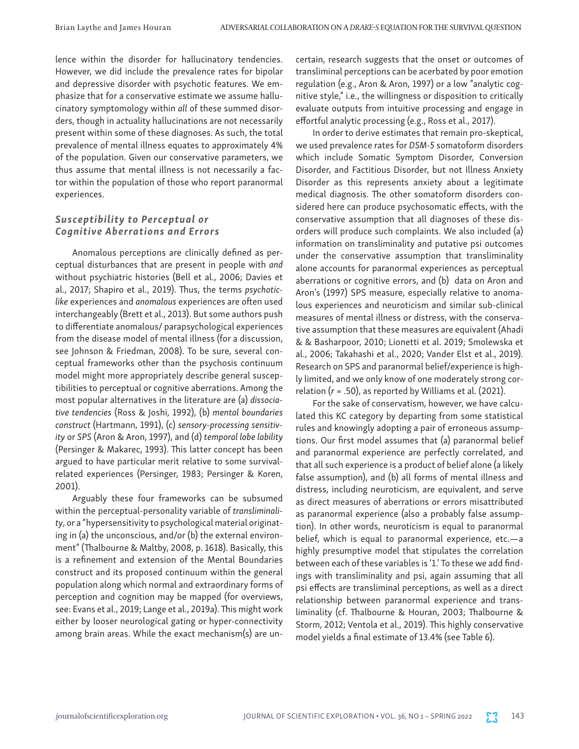lence within the disorder for hallucinatory tendencies. However, we did include the prevalence rates for bipolar and depressive disorder with psychotic features. We emphasize that for a conservative estimate we assume hallucinatory symptomology within *all* of these summed disorders, though in actuality hallucinations are not necessarily present within some of these diagnoses. As such, the total prevalence of mental illness equates to approximately 4% of the population. Given our conservative parameters, we thus assume that mental illness is not necessarily a factor within the population of those who report paranormal experiences.

## *Susceptibility to Perceptual or Cognitive Aberrations and Errors*

Anomalous perceptions are clinically defined as perceptual disturbances that are present in people with *and* without psychiatric histories (Bell et al., 2006; Davies et al., 2017; Shapiro et al., 2019). Thus, the terms *psychoticlike* experiences and *anomalous* experiences are often used interchangeably (Brett et al., 2013). But some authors push to differentiate anomalous/ parapsychological experiences from the disease model of mental illness (for a discussion, see Johnson & Friedman, 2008). To be sure, several conceptual frameworks other than the psychosis continuum model might more appropriately describe general susceptibilities to perceptual or cognitive aberrations. Among the most popular alternatives in the literature are (a) *dissociative tendencies* (Ross & Joshi, 1992), (b) *mental boundaries construct* (Hartmann, 1991), (c) *sensory-processing sensitivity* or *SPS* (Aron & Aron, 1997), and (d) *temporal lobe lability* (Persinger & Makarec, 1993). This latter concept has been argued to have particular merit relative to some survivalrelated experiences (Persinger, 1983; Persinger & Koren, 2001).

Arguably these four frameworks can be subsumed within the perceptual-personality variable of *transliminality*, or a "hypersensitivity to psychological material originating in (a) the unconscious, and/or (b) the external environment" (Thalbourne & Maltby, 2008, p. 1618). Basically, this is a refinement and extension of the Mental Boundaries construct and its proposed continuum within the general population along which normal and extraordinary forms of perception and cognition may be mapped (for overviews, see: Evans et al., 2019; Lange et al., 2019a). This might work either by looser neurological gating or hyper-connectivity among brain areas. While the exact mechanism(s) are uncertain, research suggests that the onset or outcomes of transliminal perceptions can be acerbated by poor emotion regulation (e.g., Aron & Aron, 1997) or a low "analytic cognitive style," i.e., the willingness or disposition to critically evaluate outputs from intuitive processing and engage in effortful analytic processing (e.g., Ross et al., 2017).

In order to derive estimates that remain pro-skeptical, we used prevalence rates for *DSM-5* somatoform disorders which include Somatic Symptom Disorder, Conversion Disorder, and Factitious Disorder, but not Illness Anxiety Disorder as this represents anxiety about a legitimate medical diagnosis. The other somatoform disorders considered here can produce psychosomatic effects, with the conservative assumption that all diagnoses of these disorders will produce such complaints. We also included (a) information on transliminality and putative psi outcomes under the conservative assumption that transliminality alone accounts for paranormal experiences as perceptual aberrations or cognitive errors, and (b) data on Aron and Aron's (1997) SPS measure, especially relative to anomalous experiences and neuroticism and similar sub-clinical measures of mental illness or distress, with the conservative assumption that these measures are equivalent (Ahadi & & Basharpoor, 2010; Lionetti et al. 2019; Smolewska et al., 2006; Takahashi et al., 2020; Vander Elst et al., 2019). Research on SPS and paranormal belief/experience is highly limited, and we only know of one moderately strong correlation (*r* = .50), as reported by Williams et al. (2021).

For the sake of conservatism, however, we have calculated this KC category by departing from some statistical rules and knowingly adopting a pair of erroneous assumptions. Our first model assumes that (a) paranormal belief and paranormal experience are perfectly correlated, and that all such experience is a product of belief alone (a likely false assumption), and (b) all forms of mental illness and distress, including neuroticism, are equivalent, and serve as direct measures of aberrations or errors misattributed as paranormal experience (also a probably false assumption). In other words, neuroticism is equal to paranormal belief, which is equal to paranormal experience, etc.—a highly presumptive model that stipulates the correlation between each of these variables is '1.' To these we add findings with transliminality and psi, again assuming that all psi effects are transliminal perceptions, as well as a direct relationship between paranormal experience and transliminality (cf. Thalbourne & Houran, 2003; Thalbourne & Storm, 2012; Ventola et al., 2019). This highly conservative model yields a final estimate of 13.4% (see Table 6).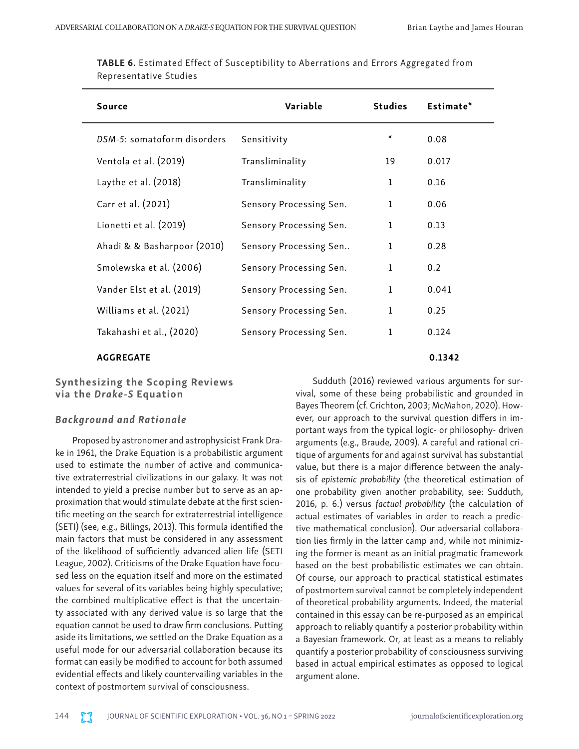| <b>Source</b>               | Variable                | <b>Studies</b> | Estimate* |
|-----------------------------|-------------------------|----------------|-----------|
| DSM-5: somatoform disorders | Sensitivity             | *              | 0.08      |
| Ventola et al. (2019)       | Transliminality         | 19             | 0.017     |
| Laythe et al. $(2018)$      | Transliminality         | $\mathbf{1}$   | 0.16      |
| Carr et al. (2021)          | Sensory Processing Sen. | $\mathbf{1}$   | 0.06      |
| Lionetti et al. (2019)      | Sensory Processing Sen. | 1              | 0.13      |
| Ahadi & & Basharpoor (2010) | Sensory Processing Sen  | 1              | 0.28      |
| Smolewska et al. (2006)     | Sensory Processing Sen. | $\mathbf{1}$   | 0.2       |
| Vander Elst et al. (2019)   | Sensory Processing Sen. | 1              | 0.041     |
| Williams et al. (2021)      | Sensory Processing Sen. | $\mathbf{1}$   | 0.25      |
| Takahashi et al., (2020)    | Sensory Processing Sen. | $\mathbf{1}$   | 0.124     |
| <b>AGGREGATE</b>            |                         |                | 0.1342    |

TABLE 6. Estimated Effect of Susceptibility to Aberrations and Errors Aggregated from Representative Studies

## Synthesizing the Scoping Reviews via the *Drake-S* Equation

#### *Background and Rationale*

Proposed by astronomer and astrophysicist Frank Drake in 1961, the Drake Equation is a probabilistic argument used to estimate the number of active and communicative extraterrestrial civilizations in our galaxy. It was not intended to yield a precise number but to serve as an approximation that would stimulate debate at the first scientific meeting on the search for extraterrestrial intelligence (SETI) (see, e.g., Billings, 2013). This formula identified the main factors that must be considered in any assessment of the likelihood of sufficiently advanced alien life (SETI League, 2002). Criticisms of the Drake Equation have focused less on the equation itself and more on the estimated values for several of its variables being highly speculative; the combined multiplicative effect is that the uncertainty associated with any derived value is so large that the equation cannot be used to draw firm conclusions. Putting aside its limitations, we settled on the Drake Equation as a useful mode for our adversarial collaboration because its format can easily be modified to account for both assumed evidential effects and likely countervailing variables in the context of postmortem survival of consciousness.

Sudduth (2016) reviewed various arguments for survival, some of these being probabilistic and grounded in Bayes Theorem (cf. Crichton, 2003; McMahon, 2020). However, our approach to the survival question differs in important ways from the typical logic- or philosophy- driven arguments (e.g., Braude, 2009). A careful and rational critique of arguments for and against survival has substantial value, but there is a major difference between the analysis of *epistemic probability* (the theoretical estimation of one probability given another probability, see: Sudduth, 2016, p. 6.) versus *factual probability* (the calculation of actual estimates of variables in order to reach a predictive mathematical conclusion). Our adversarial collaboration lies firmly in the latter camp and, while not minimizing the former is meant as an initial pragmatic framework based on the best probabilistic estimates we can obtain. Of course, our approach to practical statistical estimates of postmortem survival cannot be completely independent of theoretical probability arguments. Indeed, the material contained in this essay can be re-purposed as an empirical approach to reliably quantify a posterior probability within a Bayesian framework. Or, at least as a means to reliably quantify a posterior probability of consciousness surviving based in actual empirical estimates as opposed to logical argument alone.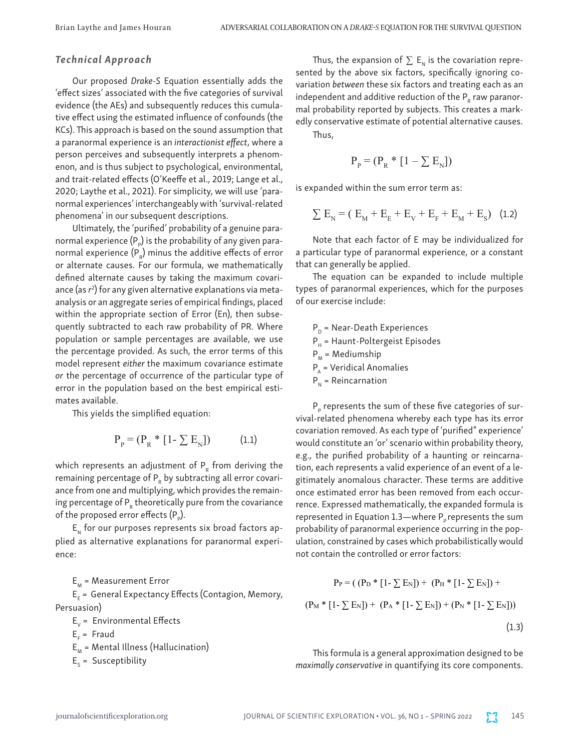## *Technical Approach*

Our proposed *Drake-S* Equation essentially adds the 'effect sizes' associated with the five categories of survival evidence (the AEs) and subsequently reduces this cumulative effect using the estimated influence of confounds (the KCs). This approach is based on the sound assumption that a paranormal experience is an *interactionist effect*, where a person perceives and subsequently interprets a phenomenon, and is thus subject to psychological, environmental, and trait-related effects (O'Keeffe et al., 2019; Lange et al., 2020; Laythe et al., 2021). For simplicity, we will use 'paranormal experiences' interchangeably with 'survival-related phenomena' in our subsequent descriptions.

Ultimately, the 'purified' probability of a genuine paranormal experience (P $_{_{\mathrm{P}}}$ ) is the probability of any given paranormal experience (P $_{\textrm{\tiny{R}}}$ ) minus the additive effects of error or alternate causes. For our formula, we mathematically defined alternate causes by taking the maximum covariance (as *r*<sup>2</sup> ) for any given alternative explanations via metaanalysis or an aggregate series of empirical findings, placed within the appropriate section of Error (En), then subsequently subtracted to each raw probability of PR. Where population or sample percentages are available, we use the percentage provided. As such, the error terms of this model represent *either* the maximum covariance estimate *or* the percentage of occurrence of the particular type of error in the population based on the best empirical estimates available.

This yields the simplified equation:

$$
P_p = (P_R * [1 - \sum E_N])
$$
 (1.1)

which represents an adjustment of  $P<sub>e</sub>$  from deriving the remaining percentage of  $P_R$  by subtracting all error covariance from one and multiplying, which provides the remaining percentage of  $P<sub>e</sub>$  theoretically pure from the covariance of the proposed error effects (P<sub>p</sub>).

 $E_{\scriptscriptstyle M}$  for our purposes represents six broad factors applied as alternative explanations for paranormal experience:

 $E_{M}$  = Measurement Error E<sub>E</sub> = General Expectancy Effects (Contagion, Memory, Persuasion)

$$
E_v = \text{Environmental Effects}
$$

$$
E_{F} = \text{Fraud}
$$

 $E_{M}$  = Mental Illness (Hallucination)

 $E<sub>S</sub>$  = Susceptibility

Thus, the expansion of  $\Sigma$  E<sub>N</sub> is the covariation represented by the above six factors, specifically ignoring covariation *between* these six factors and treating each as an independent and additive reduction of the  $P<sub>p</sub>$  raw paranormal probability reported by subjects. This creates a markedly conservative estimate of potential alternative causes.

Thus,

$$
P_{\rm p} = (P_{\rm R} * [1 - \sum E_{\rm N}])
$$

is expanded within the sum error term as:

$$
\sum E_{N} = (E_{M} + E_{E} + E_{V} + E_{F} + E_{M} + E_{S})
$$
 (1.2)

Note that each factor of E may be individualized for a particular type of paranormal experience, or a constant that can generally be applied.

The equation can be expanded to include multiple types of paranormal experiences, which for the purposes of our exercise include:

 $P_p$  = Near-Death Experiences  $P_{H}$  = Haunt-Poltergeist Episodes  $P_M$  = Mediumship  $P_A$  = Veridical Anomalies  $P_{N}$  = Reincarnation

 $\mathsf{P}_{\rho}$  represents the sum of these five categories of survival-related phenomena whereby each type has its error covariation removed. As each type of 'purified" experience' would constitute an 'or' scenario within probability theory, e.g., the purified probability of a haunting or reincarnation, each represents a valid experience of an event of a legitimately anomalous character. These terms are additive once estimated error has been removed from each occurrence. Expressed mathematically, the expanded formula is represented in Equation 1.3—where  $P_p$  represents the sum probability of paranormal experience occurring in the population, constrained by cases which probabilistically would not contain the controlled or error factors:

$$
P_P = ( (P_D * [1 - \sum E_N]) + (P_H * [1 - \sum E_N]) + (P_M * [1 - \sum E_N]) + (P_A * [1 - \sum E_N]) + (P_N * [1 - \sum E_N]))
$$
\n(1.3)

This formula is a general approximation designed to be This formula is a general approximation maximally conservative in quantifying its core components.

effect size that indicates the standardized difference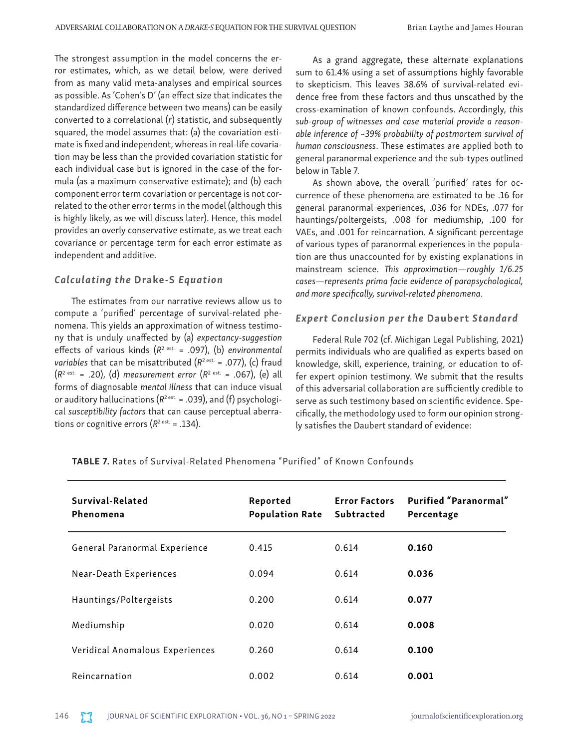The strongest assumption in the model concerns the error estimates, which, as we detail below, were derived from as many valid meta-analyses and empirical sources as possible. As 'Cohen's D' (an effect size that indicates the standardized difference between two means) can be easily converted to a correlational (*r*) statistic, and subsequently squared, the model assumes that: (a) the covariation estimate is fixed and independent, whereas in real-life covariation may be less than the provided covariation statistic for each individual case but is ignored in the case of the formula (as a maximum conservative estimate); and (b) each component error term covariation or percentage is not correlated to the other error terms in the model (although this is highly likely, as we will discuss later). Hence, this model provides an overly conservative estimate, as we treat each covariance or percentage term for each error estimate as independent and additive.

### *Calculating the* Drake-S *Equation*

The estimates from our narrative reviews allow us to compute a 'purified' percentage of survival-related phenomena. This yields an approximation of witness testimony that is unduly unaffected by (a) *expectancy-suggestion* effects of various kinds (*R*2 est. = .097), (b) *environmental variables* that can be misattributed  $(R^2)^{est.} = .077$ , (c) fraud (*R*2 est. = .20), (d) *measurement error* (*R*2 est. = .067), (e) all forms of diagnosable *mental illness* that can induce visual or auditory hallucinations ( $R^{2 \text{ est.}} = .039$ ), and (f) psychological *susceptibility factors* that can cause perceptual aberrations or cognitive errors  $(R^{2 \text{ est.}} = .134)$ .

As a grand aggregate, these alternate explanations sum to 61.4% using a set of assumptions highly favorable to skepticism. This leaves 38*.6*% of survival-related evidence free from these factors and thus unscathed by the cross-examination of known confounds. Accordingly, *this sub-group of witnesses and case material provide a reasonable inference of ~39% probability of postmortem survival of human consciousness*. These estimates are applied both to general paranormal experience and the sub-types outlined below in Table 7.

As shown above, the overall 'purified' rates for occurrence of these phenomena are estimated to be .16 for general paranormal experiences, .036 for NDEs, .077 for hauntings/poltergeists, .008 for mediumship, .100 for VAEs, and .001 for reincarnation. A significant percentage of various types of paranormal experiences in the population are thus unaccounted for by existing explanations in mainstream science. *This approximation—roughly 1/6.25 cases—represents prima facie evidence of parapsychological, and more specifically, survival-related phenomena*.

### *Expert Conclusion per the* Daubert *Standard*

Federal Rule 702 (cf. Michigan Legal Publishing, 2021) permits individuals who are qualified as experts based on knowledge, skill, experience, training, or education to offer expert opinion testimony. We submit that the results of this adversarial collaboration are sufficiently credible to serve as such testimony based on scientific evidence. Specifically, the methodology used to form our opinion strongly satisfies the Daubert standard of evidence:

| Survival-Related<br>Phenomena   | Reported<br><b>Population Rate</b> | <b>Error Factors</b><br>Subtracted | Purified "Paranormal"<br>Percentage |
|---------------------------------|------------------------------------|------------------------------------|-------------------------------------|
| General Paranormal Experience   | 0.415                              | 0.614                              | 0.160                               |
| Near-Death Experiences          | 0.094                              | 0.614                              | 0.036                               |
| Hauntings/Poltergeists          | 0.200                              | 0.614                              | 0.077                               |
| Mediumship                      | 0.020                              | 0.614                              | 0.008                               |
| Veridical Anomalous Experiences | 0.260                              | 0.614                              | 0.100                               |
| Reincarnation                   | 0.002                              | 0.614                              | 0.001                               |

TABLE 7. Rates of Survival-Related Phenomena "Purified" of Known Confounds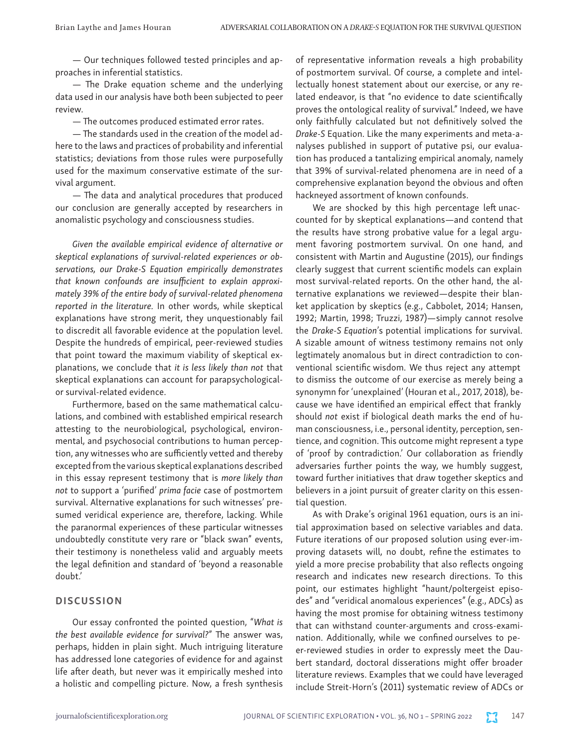— Our techniques followed tested principles and approaches in inferential statistics.

— The Drake equation scheme and the underlying data used in our analysis have both been subjected to peer review.

— The outcomes produced estimated error rates.

— The standards used in the creation of the model adhere to the laws and practices of probability and inferential statistics; deviations from those rules were purposefully used for the maximum conservative estimate of the survival argument.

— The data and analytical procedures that produced our conclusion are generally accepted by researchers in anomalistic psychology and consciousness studies.

*Given the available empirical evidence of alternative or skeptical explanations of survival-related experiences or observations, our Drake-S Equation empirically demonstrates that known confounds are insufficient to explain approximately 39% of the entire body of survival-related phenomena reported in the literature.* In other words, while skeptical explanations have strong merit, they unquestionably fail to discredit all favorable evidence at the population level. Despite the hundreds of empirical, peer-reviewed studies that point toward the maximum viability of skeptical explanations, we conclude that *it is less likely than not* that skeptical explanations can account for parapsychologicalor survival-related evidence.

Furthermore, based on the same mathematical calculations, and combined with established empirical research attesting to the neurobiological, psychological, environmental, and psychosocial contributions to human perception, any witnesses who are sufficiently vetted and thereby excepted from the various skeptical explanations described in this essay represent testimony that is *more likely than not* to support a 'purified' *prima facie* case of postmortem survival. Alternative explanations for such witnesses' presumed veridical experience are, therefore, lacking. While the paranormal experiences of these particular witnesses undoubtedly constitute very rare or "black swan" events, their testimony is nonetheless valid and arguably meets the legal definition and standard of 'beyond a reasonable doubt.'

## **DISCUSSION**

Our essay confronted the pointed question, "*What is the best available evidence for survival?*" The answer was, perhaps, hidden in plain sight. Much intriguing literature has addressed lone categories of evidence for and against life after death, but never was it empirically meshed into a holistic and compelling picture. Now, a fresh synthesis of representative information reveals a high probability of postmortem survival. Of course, a complete and intellectually honest statement about our exercise, or any related endeavor, is that "no evidence to date scientifically proves the ontological reality of survival." Indeed, we have only faithfully calculated but not definitively solved the *Drake-S* Equation. Like the many experiments and meta-analyses published in support of putative psi, our evaluation has produced a tantalizing empirical anomaly, namely that 39% of survival-related phenomena are in need of a comprehensive explanation beyond the obvious and often hackneyed assortment of known confounds.

We are shocked by this high percentage left unaccounted for by skeptical explanations—and contend that the results have strong probative value for a legal argument favoring postmortem survival. On one hand, and consistent with Martin and Augustine (2015), our findings clearly suggest that current scientific models can explain most survival-related reports. On the other hand, the alternative explanations we reviewed—despite their blanket application by skeptics (e.g., Cabbolet, 2014; Hansen, 1992; Martin, 1998; Truzzi, 1987)—simply cannot resolve the *Drake-S Equation*'s potential implications for survival. A sizable amount of witness testimony remains not only legtimately anomalous but in direct contradiction to conventional scientific wisdom. We thus reject any attempt to dismiss the outcome of our exercise as merely being a synonymn for 'unexplained' (Houran et al., 2017, 2018), because we have identified an empirical effect that frankly should *not* exist if biological death marks the end of human consciousness, i.e., personal identity, perception, sentience, and cognition. This outcome might represent a type of 'proof by contradiction.' Our collaboration as friendly adversaries further points the way, we humbly suggest, toward further initiatives that draw together skeptics and believers in a joint pursuit of greater clarity on this essential question.

As with Drake's original 1961 equation, ours is an initial approximation based on selective variables and data. Future iterations of our proposed solution using ever-improving datasets will, no doubt, refine the estimates to yield a more precise probability that also reflects ongoing research and indicates new research directions. To this point, our estimates highlight "haunt/poltergeist episodes" and "veridical anomalous experiences" (e.g., ADCs) as having the most promise for obtaining witness testimony that can withstand counter-arguments and cross-examination. Additionally, while we confined ourselves to peer-reviewed studies in order to expressly meet the Daubert standard, doctoral disserations might offer broader literature reviews. Examples that we could have leveraged include Streit-Horn's (2011) systematic review of ADCs or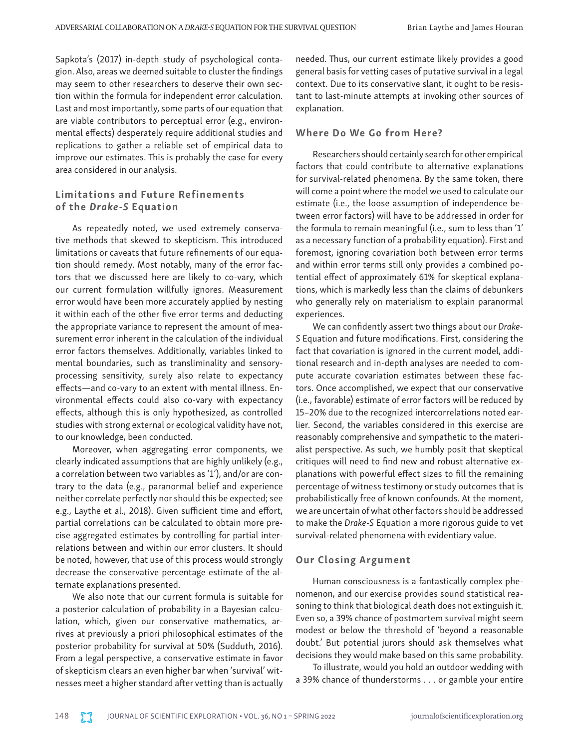Sapkota's (2017) in-depth study of psychological contagion. Also, areas we deemed suitable to cluster the findings may seem to other researchers to deserve their own section within the formula for independent error calculation. Last and most importantly, some parts of our equation that are viable contributors to perceptual error (e.g., environmental effects) desperately require additional studies and replications to gather a reliable set of empirical data to improve our estimates. This is probably the case for every area considered in our analysis.

## Limitations and Future Refinements of the *Drake-S* Equation

As repeatedly noted, we used extremely conservative methods that skewed to skepticism. This introduced limitations or caveats that future refinements of our equation should remedy. Most notably, many of the error factors that we discussed here are likely to co-vary, which our current formulation willfully ignores. Measurement error would have been more accurately applied by nesting it within each of the other five error terms and deducting the appropriate variance to represent the amount of measurement error inherent in the calculation of the individual error factors themselves. Additionally, variables linked to mental boundaries, such as transliminality and sensoryprocessing sensitivity, surely also relate to expectancy effects—and co-vary to an extent with mental illness. Environmental effects could also co-vary with expectancy effects, although this is only hypothesized, as controlled studies with strong external or ecological validity have not, to our knowledge, been conducted.

Moreover, when aggregating error components, we clearly indicated assumptions that are highly unlikely (e.g., a correlation between two variables as '1'), and/or are contrary to the data (e.g., paranormal belief and experience neither correlate perfectly nor should this be expected; see e.g., Laythe et al., 2018). Given sufficient time and effort, partial correlations can be calculated to obtain more precise aggregated estimates by controlling for partial interrelations between and within our error clusters. It should be noted, however, that use of this process would strongly decrease the conservative percentage estimate of the alternate explanations presented.

We also note that our current formula is suitable for a posterior calculation of probability in a Bayesian calculation, which, given our conservative mathematics, arrives at previously a priori philosophical estimates of the posterior probability for survival at 50% (Sudduth, 2016). From a legal perspective, a conservative estimate in favor of skepticism clears an even higher bar when 'survival' witnesses meet a higher standard after vetting than is actually needed. Thus, our current estimate likely provides a good general basis for vetting cases of putative survival in a legal context. Due to its conservative slant, it ought to be resistant to last-minute attempts at invoking other sources of explanation.

## Where Do We Go from Here?

Researchers should certainly search for other empirical factors that could contribute to alternative explanations for survival-related phenomena. By the same token, there will come a point where the model we used to calculate our estimate (i.e., the loose assumption of independence between error factors) will have to be addressed in order for the formula to remain meaningful (i.e., sum to less than '1' as a necessary function of a probability equation). First and foremost, ignoring covariation both between error terms and within error terms still only provides a combined potential effect of approximately 61% for skeptical explanations, which is markedly less than the claims of debunkers who generally rely on materialism to explain paranormal experiences.

We can confidently assert two things about our *Drake-S* Equation and future modifications. First, considering the fact that covariation is ignored in the current model, additional research and in-depth analyses are needed to compute accurate covariation estimates between these factors. Once accomplished, we expect that our conservative (i.e., favorable) estimate of error factors will be reduced by 15–20% due to the recognized intercorrelations noted earlier. Second, the variables considered in this exercise are reasonably comprehensive and sympathetic to the materialist perspective. As such, we humbly posit that skeptical critiques will need to find new and robust alternative explanations with powerful effect sizes to fill the remaining percentage of witness testimony or study outcomes that is probabilistically free of known confounds. At the moment, we are uncertain of what other factors should be addressed to make the *Drake-S* Equation a more rigorous guide to vet survival-related phenomena with evidentiary value.

## Our Closing Argument

Human consciousness is a fantastically complex phenomenon, and our exercise provides sound statistical reasoning to think that biological death does not extinguish it. Even so, a 39% chance of postmortem survival might seem modest or below the threshold of 'beyond a reasonable doubt.' But potential jurors should ask themselves what decisions they would make based on this same probability.

To illustrate, would you hold an outdoor wedding with a 39% chance of thunderstorms . . . or gamble your entire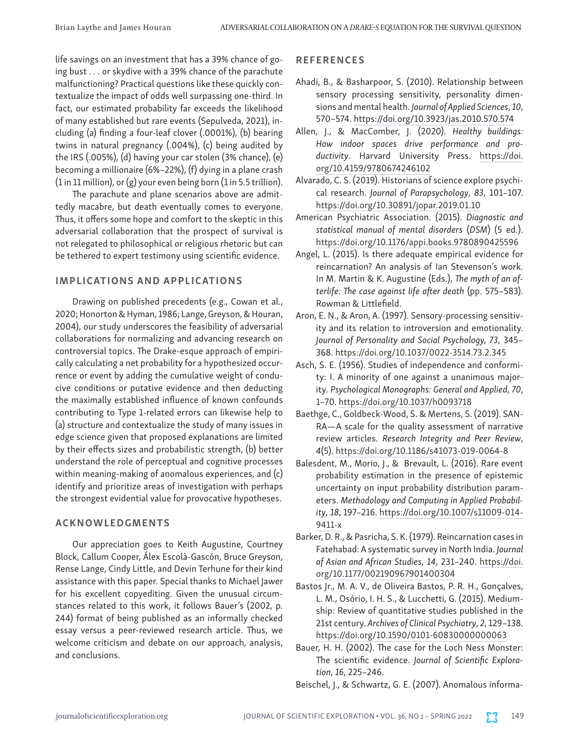life savings on an investment that has a 39% chance of going bust . . . or skydive with a 39% chance of the parachute malfunctioning? Practical questions like these quickly contextualize the impact of odds well surpassing one-third. In fact, our estimated probability far exceeds the likelihood of many established but rare events (Sepulveda, 2021), including (a) finding a four-leaf clover (.0001%), (b) bearing twins in natural pregnancy (.004%), (c) being audited by the IRS (.005%), (d) having your car stolen (3% chance), (e) becoming a millionaire (6%–22%), (f) dying in a plane crash (1 in 11 million), or (g) your even being born (1 in 5.5 trillion).

The parachute and plane scenarios above are admittedly macabre, but death eventually comes to everyone. Thus, it offers some hope and comfort to the skeptic in this adversarial collaboration that the prospect of survival is not relegated to philosophical or religious rhetoric but can be tethered to expert testimony using scientific evidence.

## IMPLICATIONS AND APPLICATIONS

Drawing on published precedents (e.g., Cowan et al., 2020; Honorton & Hyman, 1986; Lange, Greyson, & Houran, 2004), our study underscores the feasibility of adversarial collaborations for normalizing and advancing research on controversial topics. The Drake-esque approach of empirically calculating a net probability for a hypothesized occurrence or event by adding the cumulative weight of conducive conditions or putative evidence and then deducting the maximally established influence of known confounds contributing to Type 1-related errors can likewise help to (a) structure and contextualize the study of many issues in edge science given that proposed explanations are limited by their effects sizes and probabilistic strength, (b) better understand the role of perceptual and cognitive processes within meaning-making of anomalous experiences, and (c) identify and prioritize areas of investigation with perhaps the strongest evidential value for provocative hypotheses.

## ACKNOWLEDGMENTS

Our appreciation goes to Keith Augustine, Courtney Block, Callum Cooper, Álex Escolà-Gascón, Bruce Greyson, Rense Lange, Cindy Little, and Devin Terhune for their kind assistance with this paper. Special thanks to Michael Jawer for his excellent copyediting. Given the unusual circumstances related to this work, it follows Bauer's (2002, p. 244) format of being published as an informally checked essay versus a peer-reviewed research article. Thus, we welcome criticism and debate on our approach, analysis, and conclusions.

## **REFERENCES**

- Ahadi, B., & Basharpoor, S. (2010). Relationship between sensory processing sensitivity, personality dimensions and mental health. *Journal of Applied Sciences*, *10*, 570–574.<https://doi.org/10.3923/jas.2010.570.574>
- Allen, J., & MacComber, J. (2020). *Healthy buildings: How indoor spaces drive performance and productivity*. Harvard University Press. [https://doi.](https://doi.org/10.4159/9780674246102) [org/10.4159/9780674246102](https://doi.org/10.4159/9780674246102)
- Alvarado, C. S. (2019). Historians of science explore psychical research. *Journal of Parapsychology*, *83*, 101–107. <https://doi.org/10.30891/jopar.2019.01.10>
- American Psychiatric Association. (2015). *Diagnostic and statistical manual of mental disorders* (*DSM*) (5 ed.). <https://doi.org/10.1176/appi.books.9780890425596>
- Angel, L. (2015). Is there adequate empirical evidence for reincarnation? An analysis of Ian Stevenson's work. In M. Martin & K. Augustine (Eds.), *The myth of an afterlife: The case against life after death* (pp. 575–583). Rowman & Littlefield.
- Aron, E. N., & Aron, A. (1997). Sensory-processing sensitivity and its relation to introversion and emotionality. *Journal of Personality and Social Psychology, 73*, 345– 368. [https://doi.org/10.1037/0022-3514.73.2.345](https://psycnet.apa.org/doi/10.1037/0022-3514.73.2.345)
- Asch, S. E. (1956). Studies of independence and conformity: I. A minority of one against a unanimous majority. *Psychological Monographs: General and Applied*, *70*, 1–70. [https://doi.org/10.1037/h0093718](https://psycnet.apa.org/doi/10.1037/h0093718)
- Baethge, C., Goldbeck-Wood, S. & Mertens, S. (2019). SAN-RA—A scale for the quality assessment of narrative review articles. *Research Integrity and Peer Review*, *4*(5).<https://doi.org/10.1186/s41073-019-0064-8>
- Balesdent, M., Morio, J., & Brevault, L. (2016). Rare event probability estimation in the presence of epistemic uncertainty on input probability distribution parameters. *Methodology and Computing in Applied Probability*, *18*, 197–216. [https://doi.org/10.1007/s11009-014-](https://doi.org/10.1007/s11009-014-9411-x) [9411-x](https://doi.org/10.1007/s11009-014-9411-x)
- Barker, D. R., & Pasricha, S. K. (1979). Reincarnation cases in Fatehabad: A systematic survey in North India. *Journal of Asian and African Studies*, *14*, 231–240. [https://doi.](https://doi.org/10.1177/002190967901400304) [org/10.1177/002190967901400304](https://doi.org/10.1177/002190967901400304)
- Bastos Jr., M. A. V., de Oliveira Bastos, P. R. H., Gonçalves, L. M., Osório, I. H. S., & Lucchetti, G. (2015). Mediumship: Review of quantitative studies published in the 21st century. *Archives of Clinical Psychiatry*, *2*, 129–138. <https://doi.org/10.1590/0101-60830000000063>
- Bauer, H. H. (2002). The case for the Loch Ness Monster: The scientific evidence. *Journal of Scientific Exploration*, *16*, 225–246.
- Beischel, J., & Schwartz, G. E. (2007). Anomalous informa-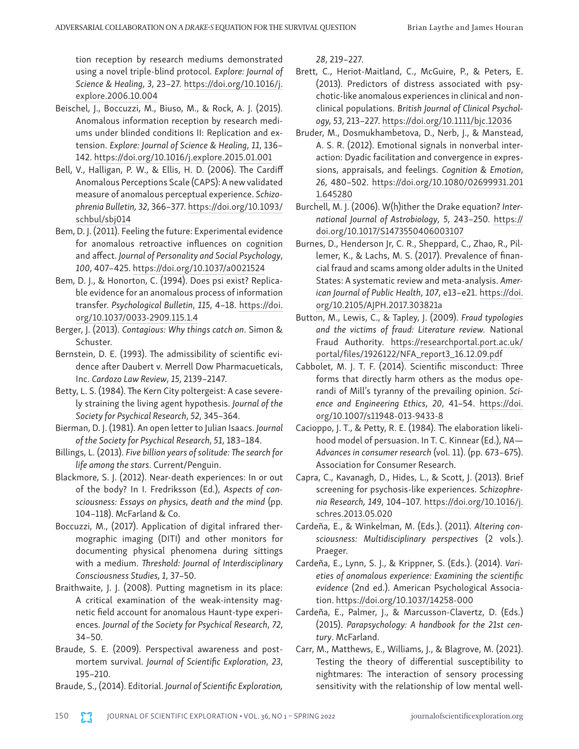tion reception by research mediums demonstrated using a novel triple-blind protocol. *Explore: Journal of Science & Healing*, *3*, 23–27. [https://doi.org/10.1016/j.](https://doi.org/10.1016/j.explore.2006.10.004) [explore.2006.10.004](https://doi.org/10.1016/j.explore.2006.10.004)

- Beischel, J., Boccuzzi, M., Biuso, M., & Rock, A. J. (2015). Anomalous information reception by research mediums under blinded conditions II: Replication and extension. *Explore: Journal of Science & Healing*, *11*, 136– 142. <https://doi.org/10.1016/j.explore.2015.01.001>
- Bell, V., Halligan, P. W., & Ellis, H. D. (2006). The Cardiff Anomalous Perceptions Scale (CAPS): A new validated measure of anomalous perceptual experience. *Schizophrenia Bulletin, 32*, 366–377. [https://doi.org/10.1093/](https://doi.org/10.1093/schbul/sbj014) [schbul/sbj014](https://doi.org/10.1093/schbul/sbj014)
- Bem, D. J. (2011). Feeling the future: Experimental evidence for anomalous retroactive influences on cognition and affect. *Journal of Personality and Social Psychology*, *100*, 407–425. <https://doi.org/10.1037/a0021524>
- Bem, D. J., & Honorton, C. (1994). Does psi exist? Replicable evidence for an anomalous process of information transfer. *Psychological Bulletin*, *115*, 4–18. [https://doi.](https://doi.org/10.1037/0033-2909.115.1.4) [org/10.1037/0033-2909.115.1.4](https://doi.org/10.1037/0033-2909.115.1.4)
- Berger, J. (2013). *Contagious: Why things catch on*. Simon & Schuster.
- Bernstein, D. E. (1993). The admissibility of scientific evidence after Daubert v. Merrell Dow Pharmacueticals, Inc. *Cardozo Law Review*, *15*, 2139–2147.
- Betty, L. S. (1984). The Kern City poltergeist: A case severely straining the living agent hypothesis. *Journal of the Society for Psychical Research*, *52*, 345–364.
- Bierman, D. J. (1981). An open letter to Julian Isaacs. *Journal of the Society for Psychical Research*, *51*, 183–184.
- Billings, L. (2013). *Five billion years of solitude: The search for life among the stars*. Current/Penguin.
- Blackmore, S. J. (2012). Near-death experiences: In or out of the body? In I. Fredriksson (Ed.), *Aspects of consciousness: Essays on physics, death and the mind* (pp. 104–118). McFarland & Co.
- Boccuzzi, M., (2017). Application of digital infrared thermographic imaging (DITI) and other monitors for documenting physical phenomena during sittings with a medium. *Threshold: Journal of Interdisciplinary Consciousness Studies, 1*, 37–50.
- Braithwaite, J. J. (2008). Putting magnetism in its place: A critical examination of the weak-intensity magnetic field account for anomalous Haunt-type experiences. *Journal of the Society for Psychical Research*, *72*, 34–50.
- Braude, S. E. (2009). Perspectival awareness and postmortem survival. *Journal of Scientific Exploration*, *23*, 195–210.
- Braude, S., (2014). Editorial. *Journal of Scientific Exploration,*

*28*, 219–227.

- Brett, C., Heriot-Maitland, C., McGuire, P., & Peters, E. (2013). Predictors of distress associated with psychotic-like anomalous experiences in clinical and nonclinical populations. *British Journal of Clinical Psychology, 53*, 213–227.<https://doi.org/10.1111/bjc.12036>
- Bruder, M., Dosmukhambetova, D., Nerb, J., & Manstead, A. S. R. (2012). Emotional signals in nonverbal interaction: Dyadic facilitation and convergence in expressions, appraisals, and feelings. *Cognition & Emotion*, *26*, 480–502. [https://doi.org/10.1080/02699931.201](https://doi.org/10.1080/02699931.2011.645280) [1.645280](https://doi.org/10.1080/02699931.2011.645280)
- Burchell, M. J. (2006). W(h)ither the Drake equation? *International Journal of Astrobiology*, *5*, 243–250. [https://](https://doi.org/10.1017/S1473550406003107) [doi.org/10.1017/S1473550406003107](https://doi.org/10.1017/S1473550406003107)
- Burnes, D., Henderson Jr, C. R., Sheppard, C., Zhao, R., Pillemer, K., & Lachs, M. S. (2017). Prevalence of financial fraud and scams among older adults in the United States: A systematic review and meta-analysis. *American Journal of Public Health*, *107*, e13–e21. [https://doi.](https://doi.org/10.2105/AJPH.2017.303821a) [org/10.2105/AJPH.2017.303821a](https://doi.org/10.2105/AJPH.2017.303821a)
- Button, M., Lewis, C., & Tapley, J. (2009). *Fraud typologies and the victims of fraud: Literature review.* National Fraud Authority. [https://researchportal.port.ac.uk/](https://researchportal.port.ac.uk/portal/files/1926122/NFA_report3_16.12.09.pdf) [portal/files/1926122/NFA\\_report3\\_16.12.09.pdf](https://researchportal.port.ac.uk/portal/files/1926122/NFA_report3_16.12.09.pdf)
- Cabbolet, M. J. T. F. (2014). Scientific misconduct: Three forms that directly harm others as the modus operandi of Mill's tyranny of the prevailing opinion. *Science and Engineering Ethics*, *20*, 41–54. [https://doi.](https://doi.org/10.1007/s11948-013-9433-8) [org/10.1007/s11948-013-9433-8](https://doi.org/10.1007/s11948-013-9433-8)
- Cacioppo, J. T., & Petty, R. E. (1984). The elaboration likelihood model of persuasion. In T. C. Kinnear (Ed.), *NA— Advances in consumer research* (vol. 11). (pp. 673–675). Association for Consumer Research.
- Capra, C., Kavanagh, D., Hides, L., & Scott, J. (2013). Brief screening for psychosis-like experiences. *Schizophrenia Research, 149*, 104–107. [https://doi.org/10.1016/j.](https://doi.org/10.1016/j.schres.2013.05.020) [schres.2013.05.020](https://doi.org/10.1016/j.schres.2013.05.020)
- Cardeña, E., & Winkelman, M. (Eds.). (2011). *Altering consciousness: Multidisciplinary perspectives* (2 vols.). Praeger.
- Cardeña, E., Lynn, S. J., & Krippner, S. (Eds.). (2014). *Varieties of anomalous experience: Examining the scientific evidence* (2nd ed.). American Psychological Association.<https://doi.org/10.1037/14258-000>
- Cardeña, E., Palmer, J., & Marcusson-Clavertz, D. (Eds.) (2015). *Parapsychology: A handbook for the 21st century*. McFarland.
- Carr, M., Matthews, E., Williams, J., & Blagrove, M. (2021). Testing the theory of differential susceptibility to nightmares: The interaction of sensory processing sensitivity with the relationship of low mental well-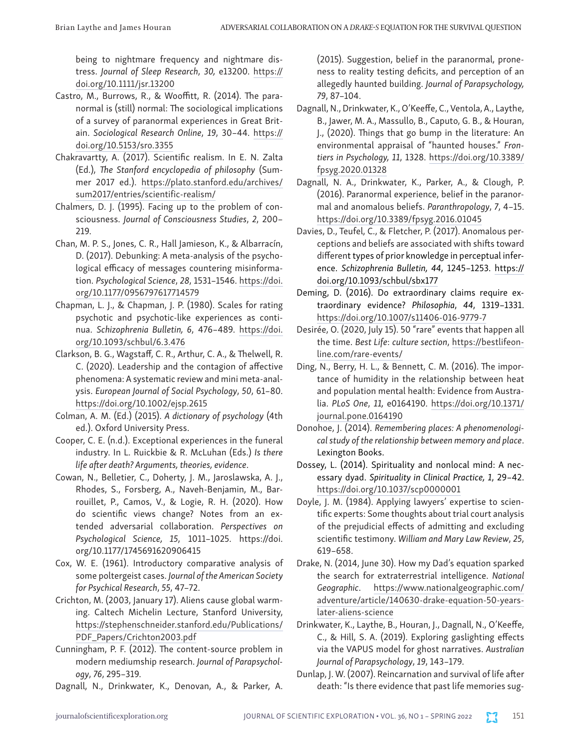being to nightmare frequency and nightmare distress. *Journal of Sleep Research*, *30,* e13200. [https://](https://doi.org/10.1111/jsr.13200) [doi.org/10.1111/jsr.13200](https://doi.org/10.1111/jsr.13200)

- Castro, M., Burrows, R., & Wooffitt, R. (2014). The paranormal is (still) normal: The sociological implications of a survey of paranormal experiences in Great Britain. *Sociological Research Online*, *19*, 30–44. [https://](https://doi.org/10.5153/sro.3355) [doi.org/10.5153/sro.3355](https://doi.org/10.5153/sro.3355)
- Chakravartty, A. (2017). Scientific realism. In E. N. Zalta (Ed.), *The Stanford encyclopedia of philosophy* (Summer 2017 ed.). [https://plato.stanford.edu/archives/](https://plato.stanford.edu/archives/sum2017/entries/scientific-realism/) [sum2017/entries/scientific-realism/](https://plato.stanford.edu/archives/sum2017/entries/scientific-realism/)
- Chalmers, D. J. (1995). Facing up to the problem of consciousness. *Journal of Consciousness Studies*, *2*, 200– 219.
- Chan, M. P. S., Jones, C. R., Hall Jamieson, K., & Albarracín, D. (2017). Debunking: A meta-analysis of the psychological efficacy of messages countering misinformation. *Psychological Science*, *28*, 1531–1546. [https://doi.](https://doi.org/10.1177/0956797617714579) [org/10.1177/0956797617714579](https://doi.org/10.1177/0956797617714579)
- Chapman, L. J., & Chapman, J. P. (1980). Scales for rating psychotic and psychotic-like experiences as continua. *Schizophrenia Bulletin, 6*, 476–489. [https://doi.](https://doi.org/10.1093/schbul/6.3.476) [org/10.1093/schbul/6.3.476](https://doi.org/10.1093/schbul/6.3.476)
- Clarkson, B. G., Wagstaff, C. R., Arthur, C. A., & Thelwell, R. C. (2020). Leadership and the contagion of affective phenomena: A systematic review and mini meta‐analysis. *European Journal of Social Psychology*, *50*, 61–80. <https://doi.org/10.1002/ejsp.2615>
- Colman, A. M. (Ed.) (2015). *A dictionary of psychology* (4th ed.). Oxford University Press.
- Cooper, C. E. (n.d.). Exceptional experiences in the funeral industry. In L. Ruickbie & R. McLuhan (Eds.) *Is there life after death? Arguments, theories, evidence*.
- Cowan, N., Belletier, C., Doherty, J. M., Jaroslawska, A. J., Rhodes, S., Forsberg, A., Naveh-Benjamin, M., Barrouillet, P., Camos, V., & Logie, R. H. (2020). How do scientific views change? Notes from an extended adversarial collaboration. *Perspectives on Psychological Science, 15*, 1011–1025. https://doi. org/10.1177/1745691620906415
- Cox, W. E. (1961). Introductory comparative analysis of some poltergeist cases. *Journal of the American Society for Psychical Research*, *55*, 47–72.
- Crichton, M. (2003, January 17). Aliens cause global warming. Caltech Michelin Lecture, Stanford University, [https://stephenschneider.stanford.edu/Publications/](https://stephenschneider.stanford.edu/Publications/PDF_Papers/Crichton2003.pdf) [PDF\\_Papers/Crichton2003.pdf](https://stephenschneider.stanford.edu/Publications/PDF_Papers/Crichton2003.pdf)
- Cunningham, P. F. (2012). The content-source problem in modern mediumship research. *Journal of Parapsychology*, *76*, 295–319.
- Dagnall, N., Drinkwater, K., Denovan, A., & Parker, A.

(2015). Suggestion, belief in the paranormal, proneness to reality testing deficits, and perception of an allegedly haunted building. *Journal of Parapsychology, 79*, 87–104.

- Dagnall, N., Drinkwater, K., O'Keeffe, C., Ventola, A., Laythe, B., Jawer, M. A., Massullo, B., Caputo, G. B., & Houran, J., (2020). Things that go bump in the literature: An environmental appraisal of "haunted houses." *Frontiers in Psychology, 11*, 1328. [https://doi.org/10.3389/](https://doi.org/10.3389/fpsyg.2020.01328) [fpsyg.2020.01328](https://doi.org/10.3389/fpsyg.2020.01328)
- Dagnall, N. A., Drinkwater, K., Parker, A., & Clough, P. (2016). Paranormal experience, belief in the paranormal and anomalous beliefs. *Paranthropology*, *7*, 4–15. <https://doi.org/10.3389/fpsyg.2016.01045>
- Davies, D., Teufel, C., & Fletcher, P. (2017). Anomalous perceptions and beliefs are associated with shifts toward different types of prior knowledge in perceptual inference. *Schizophrenia Bulletin, 44*, 1245–1253. [https://](https://doi.org/10.1093/schbul/sbx177) [doi.org/10.1093/schbul/sbx177](https://doi.org/10.1093/schbul/sbx177)
- Deming, D. (2016). Do extraordinary claims require extraordinary evidence? *Philosophia*, *44*, 1319–1331. <https://doi.org/10.1007/s11406-016-9779-7>
- Desirée, O. (2020, July 15). 50 "rare" events that happen all the time. *Best Life*: *culture section*, [https://bestlifeon](https://bestlifeonline.com/rare-events/)[line.com/rare-events/](https://bestlifeonline.com/rare-events/)
- Ding, N., Berry, H. L., & Bennett, C. M. (2016). The importance of humidity in the relationship between heat and population mental health: Evidence from Australia. *PLoS One*, *11,* e0164190. [https://doi.org/10.1371/](https://doi.org/10.1371/journal.pone.0164190) [journal.pone.0164190](https://doi.org/10.1371/journal.pone.0164190)
- Donohoe, J. (2014). *Remembering places: A phenomenological study of the relationship between memory and place*. Lexington Books.
- Dossey, L. (2014). Spirituality and nonlocal mind: A necessary dyad. *Spirituality in Clinical Practice, 1*, 29–42. [https://doi.org/10.1037/scp0000001](https://psycnet.apa.org/doi/10.1037/scp0000001)
- Doyle, J. M. (1984). Applying lawyers' expertise to scientific experts: Some thoughts about trial court analysis of the prejudicial effects of admitting and excluding scientific testimony. *William and Mary Law Review*, *25*, 619–658.
- Drake, N. (2014, June 30). How my Dad's equation sparked the search for extraterrestrial intelligence. *National Geographic*. [https://www.nationalgeographic.com/](https://www.nationalgeographic.com/adventure/article/140630-drake-equation-50-years-later-aliens-science) [adventure/article/140630-drake-equation-50-years](https://www.nationalgeographic.com/adventure/article/140630-drake-equation-50-years-later-aliens-science)[later-aliens-science](https://www.nationalgeographic.com/adventure/article/140630-drake-equation-50-years-later-aliens-science)
- Drinkwater, K., Laythe, B., Houran, J., Dagnall, N., O'Keeffe, C., & Hill, S. A. (2019). Exploring gaslighting effects via the VAPUS model for ghost narratives. *Australian Journal of Parapsychology*, *19*, 143–179.
- Dunlap, J. W. (2007). Reincarnation and survival of life after death: "Is there evidence that past life memories sug-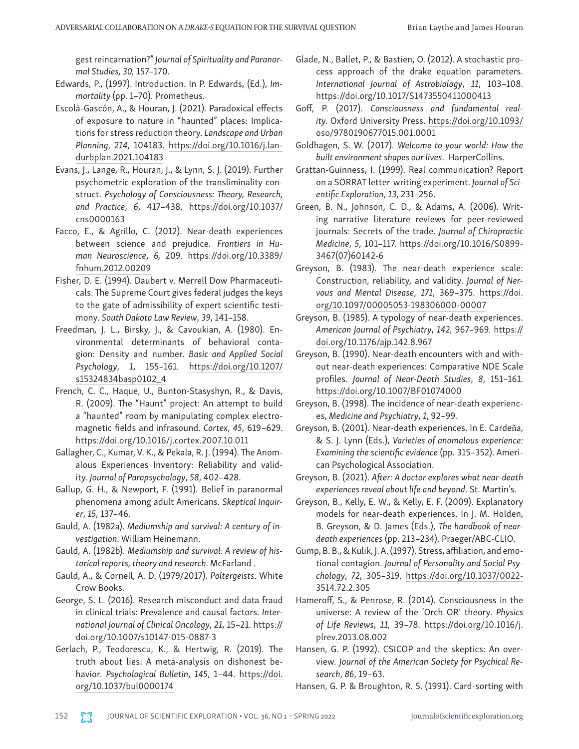gest reincarnation?" *Journal of Spirituality and Paranormal Studies, 30,* 157–170.

- Edwards, P., (1997). Introduction. In P. Edwards, (Ed.), *Immortality* (pp. 1–70). Prometheus.
- Escolà-Gascón, A., & Houran, J. (2021). Paradoxical effects of exposure to nature in "haunted" places: Implications for stress reduction theory. *Landscape and Urban Planning*, *214*, 104183. [https://doi.org/10.1016/j.lan](https://doi.org/10.1016/j.landurbplan.2021.104183)[durbplan.2021.104183](https://doi.org/10.1016/j.landurbplan.2021.104183)
- Evans, J., Lange, R., Houran, J., & Lynn, S. J. (2019). Further psychometric exploration of the transliminality construct. *Psychology of Consciousness: Theory, Research, and Practice*, *6*, 417–438. [https://doi.org/10.1037/](https://doi.org/10.1037/cns0000163) [cns0000163](https://doi.org/10.1037/cns0000163)
- Facco, E., & Agrillo, C. (2012). Near-death experiences between science and prejudice. *Frontiers in Human Neuroscience*, *6,* 209. [https://doi.org/10.3389/](https://doi.org/10.3389/fnhum.2012.00209) [fnhum.2012.00209](https://doi.org/10.3389/fnhum.2012.00209)
- Fisher, D. E. (1994). Daubert v. Merrell Dow Pharmaceuticals: The Supreme Court gives federal judges the keys to the gate of admissibility of expert scientific testimony. *South Dakota Law Review*, *39*, 141–158.
- Freedman, J. L., Birsky, J., & Cavoukian, A. (1980). Environmental determinants of behavioral contagion: Density and number. *Basic and Applied Social Psychology*, *1*, 155–161. [https://doi.org/10.1207/](https://doi.org/10.1207/s15324834basp0102_4) [s15324834basp0102\\_4](https://doi.org/10.1207/s15324834basp0102_4)
- French, C. C., Haque, U., Bunton-Stasyshyn, R., & Davis, R. (2009). The "Haunt" project: An attempt to build a "haunted" room by manipulating complex electromagnetic fields and infrasound. *Cortex*, *45*, 619–629. <https://doi.org/10.1016/j.cortex.2007.10.011>
- Gallagher, C., Kumar, V. K., & Pekala, R. J. (1994). The Anomalous Experiences Inventory: Reliability and validity. *Journal of Parapsychology*, *58*, 402–428.
- Gallup, G. H., & Newport, F. (1991). Belief in paranormal phenomena among adult Americans. *Skeptical Inquirer*, *15*, 137–46.
- Gauld, A. (1982a). *Mediumship and survival: A century of investigation*. William Heinemann.
- Gauld, A. (1982b). *Mediumship and survival: A review of historical reports, theory and research.* McFarland .
- Gauld, A., & Cornell, A. D. (1979/2017). *Poltergeists*. White Crow Books.
- George, S. L. (2016). Research misconduct and data fraud in clinical trials: Prevalence and causal factors. *International Journal of Clinical Oncology*, *21*, 15–21. [https://](https://doi.org/10.1007/s10147-015-0887-3) [doi.org/10.1007/s10147-015-0887-3](https://doi.org/10.1007/s10147-015-0887-3)
- Gerlach, P., Teodorescu, K., & Hertwig, R. (2019). The truth about lies: A meta-analysis on dishonest behavior. *Psychological Bulletin*, *145*, 1–44. [https://doi.](https://doi.org/10.1037/bul0000174) [org/10.1037/bul0000174](https://doi.org/10.1037/bul0000174)
- Glade, N., Ballet, P., & Bastien, O. (2012). A stochastic process approach of the drake equation parameters. *International Journal of Astrobiology*, *11*, 103–108. <https://doi.org/10.1017/S1473550411000413>
- Goff, P. (2017). *Consciousness and fundamental reality.* Oxford University Press. [https://doi.org/10.1093/](https://doi.org/10.1093/oso/9780190677015.001.0001) [oso/9780190677015.001.0001](https://doi.org/10.1093/oso/9780190677015.001.0001)
- Goldhagen, S. W. (2017). *Welcome to your world: How the built environment shapes our lives*. HarperCollins.
- Grattan-Guinness, I. (1999). Real communication? Report on a SORRAT letter-writing experiment. *Journal of Scientific Exploration*, *13*, 231–256.
- Green, B. N., Johnson, C. D., & Adams, A. (2006). Writing narrative literature reviews for peer-reviewed journals: Secrets of the trade. *Journal of Chiropractic Medicine*, *5*, 101–117. [https://doi.org/10.1016/S0899-](https://doi.org/10.1016/S0899-3467(07)60142-6) [3467\(07\)60142-6](https://doi.org/10.1016/S0899-3467(07)60142-6)
- Greyson, B. (1983). The near-death experience scale: Construction, reliability, and validity. *Journal of Nervous and Mental Disease*, *171*, 369–375. [https://doi.](https://doi.org/10.1097/00005053-198306000-00007) [org/10.1097/00005053-198306000-00007](https://doi.org/10.1097/00005053-198306000-00007)
- Greyson, B. (1985). A typology of near-death experiences. *American Journal of Psychiatry*, *142*, 967–969. [https://](https://doi.org/10.1176/ajp.142.8.967) [doi.org/10.1176/ajp.142.8.967](https://doi.org/10.1176/ajp.142.8.967)
- Greyson, B. (1990). Near-death encounters with and without near-death experiences: Comparative NDE Scale profiles. *Journal of Near-Death Studies*, *8*, 151–161. <https://doi.org/10.1007/BF01074000>
- Greyson, B. (1998). The incidence of near-death experiences, *Medicine and Psychiatry*, *1*, 92–99.
- Greyson, B. (2001). Near-death experiences. In E. Cardeña, & S. J. Lynn (Eds.), *Varieties of anomalous experience: Examining the scientific evidence* (pp. 315–352). American Psychological Association.
- Greyson, B. (2021). *After: A doctor explores what near-death experiences reveal about life and beyond*. St. Martin's.
- Greyson, B., Kelly, E. W., & Kelly, E. F. (2009). Explanatory models for near-death experiences. In J. M. Holden, B. Greyson, & D. James (Eds.), *The handbook of neardeath experiences* (pp. 213–234). Praeger/ABC-CLIO.
- Gump, B. B., & Kulik, J. A. (1997). Stress, affiliation, and emotional contagion. *Journal of Personality and Social Psychology*, *72*, 305–319. [https://doi.org/10.1037/0022-](https://doi.org/10.1037/0022-3514.72.2.305) [3514.72.2.305](https://doi.org/10.1037/0022-3514.72.2.305)
- Hameroff, S., & Penrose, R. (2014). Consciousness in the universe: A review of the 'Orch OR' theory. *Physics of Life Reviews*, *11*, 39–78. [https://doi.org/10.1016/j.](https://doi.org/10.1016/j.plrev.2013.08.002) [plrev.2013.08.002](https://doi.org/10.1016/j.plrev.2013.08.002)
- Hansen, G. P. (1992). CSICOP and the skeptics: An overview. *Journal of the American Society for Psychical Research*, *86*, 19–63.
- Hansen, G. P. & Broughton, R. S. (1991). Card-sorting with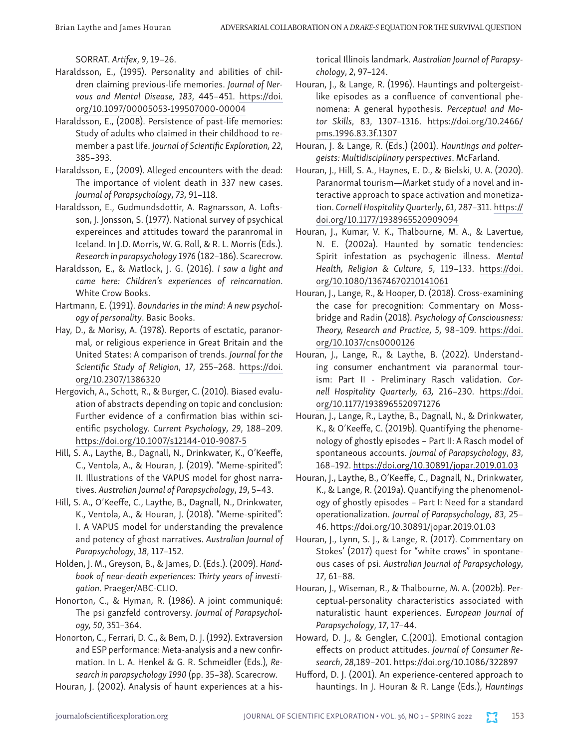SORRAT. *Artifex*, *9*, 19–26.

- Haraldsson, E., (1995). Personality and abilities of children claiming previous-life memories. *Journal of Nervous and Mental Disease, 183*, 445–451. [https://doi.](https://doi.org/10.1097/00005053-199507000-00004) [org/10.1097/00005053-199507000-00004](https://doi.org/10.1097/00005053-199507000-00004)
- Haraldsson, E., (2008). Persistence of past-life memories: Study of adults who claimed in their childhood to remember a past life. *Journal of Scientific Exploration, 22*, 385–393.
- Haraldsson, E., (2009). Alleged encounters with the dead: The importance of violent death in 337 new cases. *Journal of Parapsychology*, *73*, 91–118.
- Haraldsson, E., Gudmundsdottir, A. Ragnarsson, A. Loftsson, J. Jonsson, S. (1977). National survey of psychical expereinces and attitudes toward the paranromal in Iceland. In J.D. Morris, W. G. Roll, & R. L. Morris (Eds.). *Research in parapsychology 1976* (182–186). Scarecrow.
- Haraldsson, E., & Matlock, J. G. (2016). *I saw a light and came here: Children's experiences of reincarnation*. White Crow Books.
- Hartmann, E. (1991). *Boundaries in the mind: A new psychology of personality*. Basic Books.
- Hay, D., & Morisy, A. (1978). Reports of esctatic, paranormal, or religious experience in Great Britain and the United States: A comparison of trends. *Journal for the Scientific Study of Religion*, *17*, 255–268. [https://doi.](https://doi.org/10.2307/1386320) [org/10.2307/1386320](https://doi.org/10.2307/1386320)
- Hergovich, A., Schott, R., & Burger, C. (2010). Biased evaluation of abstracts depending on topic and conclusion: Further evidence of a confirmation bias within scientific psychology. *Current Psychology*, *29*, 188–209. <https://doi.org/10.1007/s12144-010-9087-5>
- Hill, S. A., Laythe, B., Dagnall, N., Drinkwater, K., O'Keeffe, C., Ventola, A., & Houran, J. (2019). "Meme-spirited": II. Illustrations of the VAPUS model for ghost narratives. *Australian Journal of Parapsychology*, *19*, 5–43.
- Hill, S. A., O'Keeffe, C., Laythe, B., Dagnall, N., Drinkwater, K., Ventola, A., & Houran, J. (2018). "Meme-spirited": I. A VAPUS model for understanding the prevalence and potency of ghost narratives. *Australian Journal of Parapsychology*, *18*, 117–152.
- Holden, J. M., Greyson, B., & James, D. (Eds.). (2009). *Handbook of near-death experiences: Thirty years of investigation*. Praeger/ABC-CLIO.
- Honorton, C., & Hyman, R. (1986). A joint communiqué: The psi ganzfeld controversy. *Journal of Parapsychology, 50*, 351–364.
- Honorton, C., Ferrari, D. C., & Bem, D. J. (1992). Extraversion and ESP performance: Meta-analysis and a new confirmation. In L. A. Henkel & G. R. Schmeidler (Eds.), *Research in parapsychology 1990* (pp. 35–38). Scarecrow.
- Houran, J. (2002). Analysis of haunt experiences at a his-

torical Illinois landmark. *Australian Journal of Parapsychology*, *2*, 97–124.

- Houran, J., & Lange, R. (1996). Hauntings and poltergeistlike episodes as a confluence of conventional phenomena: A general hypothesis. *Perceptual and Motor Skills*, 83, 1307–1316. [https://doi.org/10.2466/](https://doi.org/10.2466/pms.1996.83.3f.1307) [pms.1996.83.3f.1307](https://doi.org/10.2466/pms.1996.83.3f.1307)
- Houran, J. & Lange, R. (Eds.) (2001). *Hauntings and poltergeists: Multidisciplinary perspectives*. McFarland.
- Houran, J., Hill, S. A., Haynes, E. D., & Bielski, U. A. (2020). Paranormal tourism—Market study of a novel and interactive approach to space activation and monetization. *Cornell Hospitality Quarterly*, *61*, 287–311. [https://](https://doi.org/10.1177/1938965520909094) [doi.org/10.1177/1938965520909094](https://doi.org/10.1177/1938965520909094)
- Houran, J., Kumar, V. K., Thalbourne, M. A., & Lavertue, N. E. (2002a). Haunted by somatic tendencies: Spirit infestation as psychogenic illness. *Mental Health, Religion & Culture*, *5*, 119–133. [https://doi.](https://doi.org/10.1080/13674670210141061) [org/10.1080/13674670210141061](https://doi.org/10.1080/13674670210141061)
- Houran, J., Lange, R., & Hooper, D. (2018). Cross-examining the case for precognition: Commentary on Mossbridge and Radin (2018). *Psychology of Consciousness: Theory, Research and Practice*, *5*, 98–109. [https://doi.](https://doi.org/10.1037/cns0000126) [org/10.1037/cns0000126](https://doi.org/10.1037/cns0000126)
- Houran, J., Lange, R., & Laythe, B. (2022). Understanding consumer enchantment via paranormal tourism: Part II - Preliminary Rasch validation. *Cornell Hospitality Quarterly, 63,* 216–230. [https://doi.](https://doi.org/10.1177/1938965520971276) [org/10.1177/1938965520971276](https://doi.org/10.1177/1938965520971276)
- Houran, J., Lange, R., Laythe, B., Dagnall, N., & Drinkwater, K., & O'Keeffe, C. (2019b). Quantifying the phenomenology of ghostly episodes – Part II: A Rasch model of spontaneous accounts. *Journal of Parapsychology*, *83*, 168–192. <https://doi.org/10.30891/jopar.2019.01.03>
- Houran, J., Laythe, B., O'Keeffe, C., Dagnall, N., Drinkwater, K., & Lange, R. (2019a). Quantifying the phenomenology of ghostly episodes – Part I: Need for a standard operationalization. *Journal of Parapsychology*, *83*, 25– 46. <https://doi.org/10.30891/jopar.2019.01.03>
- Houran, J., Lynn, S. J., & Lange, R. (2017). Commentary on Stokes' (2017) quest for "white crows" in spontaneous cases of psi. *Australian Journal of Parapsychology*, *17*, 61–88.
- Houran, J., Wiseman, R., & Thalbourne, M. A. (2002b). Perceptual-personality characteristics associated with naturalistic haunt experiences. *European Journal of Parapsychology*, *17*, 17–44.
- Howard, D. J., & Gengler, C.(2001). Emotional contagion effects on product attitudes. *Journal of Consumer Research*, *28*,189–201.<https://doi.org/10.1086/322897>
- Hufford, D. J. (2001). An experience-centered approach to hauntings. In J. Houran & R. Lange (Eds.), *Hauntings*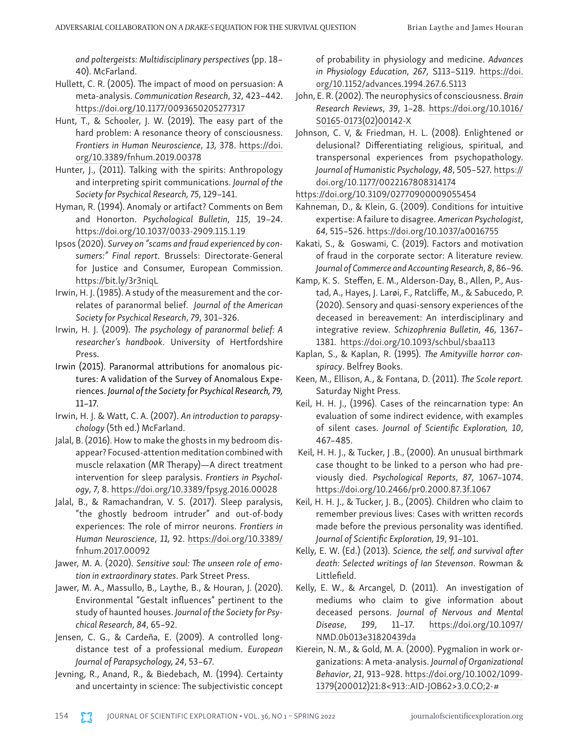*and poltergeists: Multidisciplinary perspectives* (pp. 18– 40). McFarland.

- Hullett, C. R. (2005). The impact of mood on persuasion: A meta-analysis. *Communication Research*, *32*, 423–442. <https://doi.org/10.1177/0093650205277317>
- Hunt, T., & Schooler, J. W. (2019). The easy part of the hard problem: A resonance theory of consciousness. *Frontiers in Human Neuroscience*, *13,* 378. [https://doi.](https://doi.org/10.3389/fnhum.2019.00378) [org/10.3389/fnhum.2019.00378](https://doi.org/10.3389/fnhum.2019.00378)
- Hunter, J., (2011). Talking with the spirits: Anthropology and interpreting spirit communications. *Journal of the Society for Psychical Research, 75*, 129–141.
- Hyman, R. (1994). Anomaly or artifact? Comments on Bem and Honorton. *Psychological Bulletin*, *115*, 19–24. <https://doi.org/10.1037/0033-2909.115.1.19>
- Ipsos (2020). *Survey on "scams and fraud experienced by consumers:" Final report*. Brussels: Directorate-General for Justice and Consumer, European Commission. <https://bit.ly/3r3niqL>
- Irwin, H. J. (1985). A study of the measurement and the correlates of paranormal belief. *Journal of the American Society for Psychical Research*, *79*, 301–326.
- Irwin, H. J. (2009). *The psychology of paranormal belief: A researcher's handbook*. University of Hertfordshire Press.
- Irwin (2015). Paranormal attributions for anomalous pictures: A validation of the Survey of Anomalous Experiences. *Journal of the Society for Psychical Research, 79,* 11–17.
- Irwin, H. J. & Watt, C. A. (2007). *An introduction to parapsychology* (5th ed.) McFarland.
- Jalal, B. (2016). How to make the ghosts in my bedroom disappear? Focused-attention meditation combined with muscle relaxation (MR Therapy)—A direct treatment intervention for sleep paralysis. *Frontiers in Psychology*, *7*, 8. <https://doi.org/10.3389/fpsyg.2016.00028>
- Jalal, B., & Ramachandran, V. S. (2017). Sleep paralysis, "the ghostly bedroom intruder" and out-of-body experiences: The role of mirror neurons. *Frontiers in Human Neuroscience*, *11,* 92. [https://doi.org/10.3389/](https://doi.org/10.3389/fnhum.2017.00092) [fnhum.2017.00092](https://doi.org/10.3389/fnhum.2017.00092)
- Jawer, M. A. (2020). *Sensitive soul: The unseen role of emotion in extraordinary states*. Park Street Press.
- Jawer, M. A., Massullo, B., Laythe, B., & Houran, J. (2020). Environmental "Gestalt influences" pertinent to the study of haunted houses. *Journal of the Society for Psychical Research*, *84*, 65–92.
- Jensen, C. G., & Cardeña, E. (2009). A controlled longdistance test of a professional medium. *European Journal of Parapsychology, 24*, 53–67.
- Jevning, R., Anand, R., & Biedebach, M. (1994). Certainty and uncertainty in science: The subjectivistic concept

of probability in physiology and medicine. *Advances in Physiology Education*, *267*, S113–S119. [https://doi.](https://doi.org/10.1152/advances.1994.267.6.S113) [org/10.1152/advances.1994.267.6.S113](https://doi.org/10.1152/advances.1994.267.6.S113)

- John, E. R. (2002). The neurophysics of consciousness. *Brain Research Reviews*, *39*, 1–28. [https://doi.org/10.1016/](https://doi.org/10.1016/S0165-0173(02)00142-X) [S0165-0173\(02\)00142-X](https://doi.org/10.1016/S0165-0173(02)00142-X)
- Johnson, C. V, & Friedman, H. L. (2008). Enlightened or delusional? Differentiating religious, spiritual, and transpersonal experiences from psychopathology. *Journal of Humanistic Psychology*, *48*, 505–527. [https://](https://doi.org/10.1177/0022167808314174) [doi.org/10.1177/0022167808314174](https://doi.org/10.1177/0022167808314174)

<https://doi.org/10.3109/02770900009055454>

- Kahneman, D., & Klein, G. (2009). Conditions for intuitive expertise: A failure to disagree. *American Psychologist*, *64*, 515–526.<https://doi.org/10.1037/a0016755>
- Kakati, S., & Goswami, C. (2019). Factors and motivation of fraud in the corporate sector: A literature review. *Journal of Commerce and Accounting Research*, *8*, 86–96.
- Kamp, K. S. Steffen, E. M., Alderson-Day, B., Allen, P., Austad, A., Hayes, J. Larøi, F., Ratcliffe, M., & Sabucedo, P. (2020). Sensory and quasi-sensory experiences of the deceased in bereavement: An interdisciplinary and integrative review. *Schizophrenia Bulletin*, *46*, 1367– 1381. <https://doi.org/10.1093/schbul/sbaa113>
- Kaplan, S., & Kaplan, R. (1995). *The Amityville horror conspiracy*. Belfrey Books.
- Keen, M., Ellison, A., & Fontana, D. (2011). *The Scole report.*  Saturday Night Press.
- Keil, H. H. J., (1996). Cases of the reincarnation type: An evaluation of some indirect evidence, with examples of silent cases. *Journal of Scientific Exploration, 10*, 467–485.
- Keil, H. H. J., & Tucker, J .B., (2000). An unusual birthmark case thought to be linked to a person who had previously died. *Psychological Reports*, *87*, 1067–1074. <https://doi.org/10.2466/pr0.2000.87.3f.1067>
- Keil, H. H. J., & Tucker, J. B., (2005). Children who claim to remember previous lives: Cases with written records made before the previous personality was identified. *Journal of Scientific Exploration, 19*, 91–101.
- Kelly, E. W. (Ed.) (2013). *Science, the self, and survival after death: Selected writings of Ian Stevenson*. Rowman & Littlefield.
- Kelly, E. W., & Arcangel, D. (2011). An investigation of mediums who claim to give information about deceased persons. *Journal of Nervous and Mental Disease*, *199*, 11–17. [https://doi.org/10.1097/](https://doi.org/10.1097/NMD.0b013e31820439da) [NMD.0b013e31820439da](https://doi.org/10.1097/NMD.0b013e31820439da)
- Kierein, N. M., & Gold, M. A. (2000). Pygmalion in work organizations: A meta‐analysis. *Journal of Organizational Behavior*, *21*, 913–928. [https://doi.org/10.1002/1099-](https://doi.org/10.1002/1099-1379(200012)21:8%3c913::AID-JOB62%3e3.0.CO;2-) [1379\(200012\)21:8<913::AID-JOB62>3.0.CO;2-#](https://doi.org/10.1002/1099-1379(200012)21:8%3c913::AID-JOB62%3e3.0.CO;2-)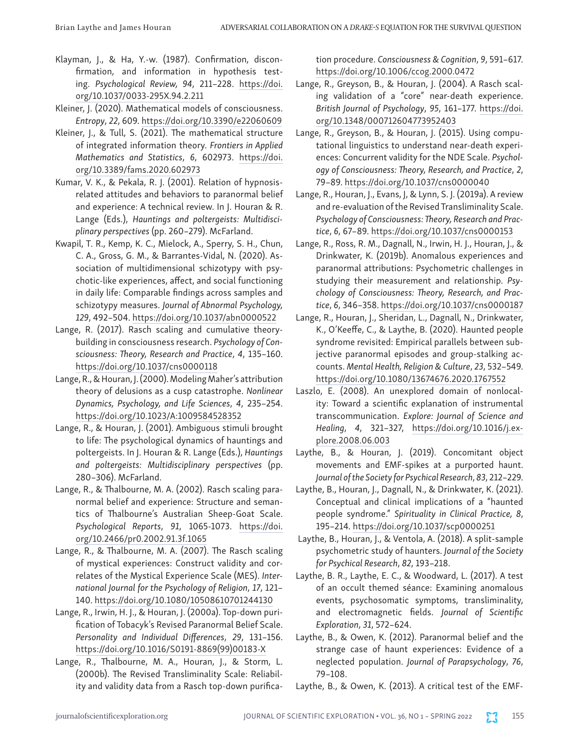- Klayman, J., & Ha, Y.-w. (1987). Confirmation, disconfirmation, and information in hypothesis testing. *Psychological Review, 94*, 211–228. [https://doi.](https://doi.apa.org/doi/10.1037/0033-295X.94.2.211) [org/10.1037/0033-295X.94.2.211](https://doi.apa.org/doi/10.1037/0033-295X.94.2.211)
- Kleiner, J. (2020). Mathematical models of consciousness. *Entropy*, *22*, 609. <https://doi.org/10.3390/e22060609>
- Kleiner, J., & Tull, S. (2021). The mathematical structure of integrated information theory. *Frontiers in Applied Mathematics and Statistics*, *6*, 602973. [https://doi.](https://doi.org/10.3389/fams.2020.602973) [org/10.3389/fams.2020.602973](https://doi.org/10.3389/fams.2020.602973)
- Kumar, V. K., & Pekala, R. J. (2001). Relation of hypnosisrelated attitudes and behaviors to paranormal belief and experience: A technical review. In J. Houran & R. Lange (Eds.), *Hauntings and poltergeists: Multidisciplinary perspectives* (pp. 260–279). McFarland.
- Kwapil, T. R., Kemp, K. C., Mielock, A., Sperry, S. H., Chun, C. A., Gross, G. M., & Barrantes-Vidal, N. (2020). Association of multidimensional schizotypy with psychotic-like experiences, affect, and social functioning in daily life: Comparable findings across samples and schizotypy measures. *Journal of Abnormal Psychology, 129*, 492–504.<https://doi.org/10.1037/abn0000522>
- Lange, R. (2017). Rasch scaling and cumulative theorybuilding in consciousness research. *Psychology of Consciousness: Theory, Research and Practice*, *4*, 135–160. <https://doi.org/10.1037/cns0000118>
- Lange, R., & Houran, J. (2000). Modeling Maher's attribution theory of delusions as a cusp catastrophe. *Nonlinear Dynamics, Psychology, and Life Sciences*, *4*, 235–254. <https://doi.org/10.1023/A:1009584528352>
- Lange, R., & Houran, J. (2001). Ambiguous stimuli brought to life: The psychological dynamics of hauntings and poltergeists. In J. Houran & R. Lange (Eds.), *Hauntings and poltergeists: Multidisciplinary perspectives* (pp. 280–306). McFarland.
- Lange, R., & Thalbourne, M. A. (2002). Rasch scaling paranormal belief and experience: Structure and semantics of Thalbourne's Australian Sheep-Goat Scale. *Psychological Reports*, *91*, 1065-1073. [https://doi.](https://doi.org/10.2466/pr0.2002.91.3f.1065) [org/10.2466/pr0.2002.91.3f.1065](https://doi.org/10.2466/pr0.2002.91.3f.1065)
- Lange, R., & Thalbourne, M. A. (2007). The Rasch scaling of mystical experiences: Construct validity and correlates of the Mystical Experience Scale (MES). *International Journal for the Psychology of Religion*, *17*, 121– 140.<https://doi.org/10.1080/10508610701244130>
- Lange, R., Irwin, H. J., & Houran, J. (2000a). Top-down purification of Tobacyk's Revised Paranormal Belief Scale. *Personality and Individual Differences*, *29*, 131–156. [https://doi.org/10.1016/S0191-8869\(99\)00183-X](https://doi.org/10.1016/S0191-8869(99)00183-X)
- Lange, R., Thalbourne, M. A., Houran, J., & Storm, L. (2000b). The Revised Transliminality Scale: Reliability and validity data from a Rasch top-down purifica-

tion procedure. *Consciousness & Cognition*, *9*, 591–617. <https://doi.org/10.1006/ccog.2000.0472>

- Lange, R., Greyson, B., & Houran, J. (2004). A Rasch scaling validation of a "core" near-death experience. *British Journal of Psychology*, *95*, 161–177. [https://doi.](https://doi.org/10.1348/000712604773952403) [org/10.1348/000712604773952403](https://doi.org/10.1348/000712604773952403)
- Lange, R., Greyson, B., & Houran, J. (2015). Using computational linguistics to understand near-death experiences: Concurrent validity for the NDE Scale. *Psychology of Consciousness: Theory, Research, and Practice*, *2*, 79–89. <https://doi.org/10.1037/cns0000040>
- Lange, R., Houran, J., Evans, J, & Lynn, S. J. (2019a). A review and re-evaluation of the Revised Transliminality Scale. *Psychology of Consciousness: Theory, Research and Practice*, *6*, 67–89. <https://doi.org/10.1037/cns0000153>
- Lange, R., Ross, R. M., Dagnall, N., Irwin, H. J., Houran, J., & Drinkwater, K. (2019b). Anomalous experiences and paranormal attributions: Psychometric challenges in studying their measurement and relationship. *Psychology of Consciousness: Theory, Research, and Practice*, *6*, 346–358.<https://doi.org/10.1037/cns0000187>
- Lange, R., Houran, J., Sheridan, L., Dagnall, N., Drinkwater, K., O'Keeffe, C., & Laythe, B. (2020). Haunted people syndrome revisited: Empirical parallels between subjective paranormal episodes and group-stalking accounts. *Mental Health, Religion & Culture*, *23*, 532–549. <https://doi.org/10.1080/13674676.2020.1767552>
- Laszlo, E. (2008). An unexplored domain of nonlocality: Toward a scientific explanation of instrumental transcommunication. *Explore: Journal of Science and Healing*, *4*, 321–327, [https://doi.org/10.1016/j.ex](https://doi.org/10.1016/j.explore.2008.06.003)[plore.2008.06.003](https://doi.org/10.1016/j.explore.2008.06.003)
- Laythe, B., & Houran, J. (2019). Concomitant object movements and EMF-spikes at a purported haunt. *Journal of the Society for Psychical Research*, *83*, 212–229.
- Laythe, B., Houran, J., Dagnall, N., & Drinkwater, K. (2021). Conceptual and clinical implications of a "haunted people syndrome." *Spirituality in Clinical Practice, 8*, 195–214*.* <https://doi.org/10.1037/scp0000251>
- Laythe, B., Houran, J., & Ventola, A. (2018). A split-sample psychometric study of haunters. *Journal of the Society for Psychical Research*, *82*, 193–218.
- Laythe, B. R., Laythe, E. C., & Woodward, L. (2017). A test of an occult themed séance: Examining anomalous events, psychosomatic symptoms, transliminality, and electromagnetic fields. *Journal of Scientific Exploration*, *31*, 572–624.
- Laythe, B., & Owen, K. (2012). Paranormal belief and the strange case of haunt experiences: Evidence of a neglected population. *Journal of Parapsychology*, *76*, 79–108.
- Laythe, B., & Owen, K. (2013). A critical test of the EMF-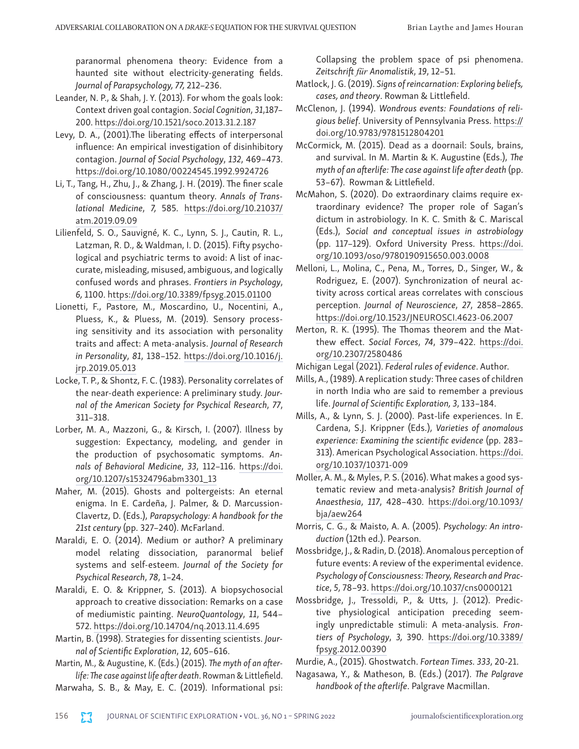paranormal phenomena theory: Evidence from a haunted site without electricity-generating fields. *Journal of Parapsychology, 77,* 212–236.

- Leander, N. P., & Shah, J. Y. (2013). For whom the goals look: Context driven goal contagion. *Social Cognition*, *31*,187– 200.<https://doi.org/10.1521/soco.2013.31.2.187>
- Levy, D. A., (2001).The liberating effects of interpersonal influence: An empirical investigation of disinhibitory contagion. *Journal of Social Psychology*, *132*, 469–473. <https://doi.org/10.1080/00224545.1992.9924726>
- Li, T., Tang, H., Zhu, J., & Zhang, J. H. (2019). The finer scale of consciousness: quantum theory. *Annals of Translational Medicine*, *7,* 585. [https://doi.org/10.21037/](https://doi.org/10.21037/atm.2019.09.09) [atm.2019.09.09](https://doi.org/10.21037/atm.2019.09.09)
- Lilienfeld, S. O., Sauvigné, K. C., Lynn, S. J., Cautin, R. L., Latzman, R. D., & Waldman, I. D. (2015). Fifty psychological and psychiatric terms to avoid: A list of inaccurate, misleading, misused, ambiguous, and logically confused words and phrases. *Frontiers in Psychology*, *6,* 1100. <https://doi.org/10.3389/fpsyg.2015.01100>
- Lionetti, F., Pastore, M., Moscardino, U., Nocentini, A., Pluess, K., & Pluess, M. (2019). Sensory processing sensitivity and its association with personality traits and affect: A meta-analysis. *Journal of Research in Personality*, *81*, 138–152. [https://doi.org/10.1016/j.](https://doi.org/10.1016/j.jrp.2019.05.013) [jrp.2019.05.013](https://doi.org/10.1016/j.jrp.2019.05.013)
- Locke, T. P., & Shontz, F. C. (1983). Personality correlates of the near-death experience: A preliminary study. *Journal of the American Society for Psychical Research*, *77*, 311–318.
- Lorber, M. A., Mazzoni, G., & Kirsch, I. (2007). Illness by suggestion: Expectancy, modeling, and gender in the production of psychosomatic symptoms. *Annals of Behavioral Medicine*, *33*, 112–116. [https://doi.](https://doi.org/10.1207/s15324796abm3301_13) [org/10.1207/s15324796abm3301\\_13](https://doi.org/10.1207/s15324796abm3301_13)
- Maher, M. (2015). Ghosts and poltergeists: An eternal enigma. In E. Cardeña, J. Palmer, & D. Marcussion-Clavertz, D. (Eds.), *Parapsychology: A handbook for the 21st century* (pp. 327–240). McFarland.
- Maraldi, E. O. (2014). Medium or author? A preliminary model relating dissociation, paranormal belief systems and self-esteem. *Journal of the Society for Psychical Research*, *78*, 1–24.
- Maraldi, E. O. & Krippner, S. (2013). A biopsychosocial approach to creative dissociation: Remarks on a case of mediumistic painting. *NeuroQuantology*, *11*, 544– 572.<https://doi.org/10.14704/nq.2013.11.4.695>
- Martin, B. (1998). Strategies for dissenting scientists. *Journal of Scientific Exploration*, *12*, 605–616.

Martin, M., & Augustine, K. (Eds.) (2015). *The myth of an afterlife: The case against life after death*. Rowman & Littlefield.

Marwaha, S. B., & May, E. C. (2019). Informational psi:

Collapsing the problem space of psi phenomena. *Zeitschrift für Anomalistik*, *19*, 12–51.

- Matlock, J. G. (2019). *Signs of reincarnation: Exploring beliefs, cases, and theory*. Rowman & Littlefield.
- McClenon, J. (1994). *Wondrous events: Foundations of religious belief*. University of Pennsylvania Press. [https://](https://doi.org/10.9783/9781512804201) [doi.org/10.9783/9781512804201](https://doi.org/10.9783/9781512804201)
- McCormick, M. (2015). Dead as a doornail: Souls, brains, and survival. In M. Martin & K. Augustine (Eds.), *The myth of an afterlife: The case against life after death* (pp. 53–67). Rowman & Littlefield.
- McMahon, S. (2020). Do extraordinary claims require extraordinary evidence? The proper role of Sagan's dictum in astrobiology. In K. C. Smith & C. Mariscal (Eds.), *Social and conceptual issues in astrobiology* (pp. 117–129). Oxford University Press. [https://doi.](https://doi.org/10.1093/oso/9780190915650.003.0008) [org/10.1093/oso/9780190915650.003.0008](https://doi.org/10.1093/oso/9780190915650.003.0008)
- Melloni, L., Molina, C., Pena, M., Torres, D., Singer, W., & Rodriguez, E. (2007). Synchronization of neural activity across cortical areas correlates with conscious perception. *Journal of Neuroscience*, *27*, 2858–2865. <https://doi.org/10.1523/JNEUROSCI.4623-06.2007>
- Merton, R. K. (1995). The Thomas theorem and the Matthew effect. *Social Forces*, *74*, 379–422. [https://doi.](https://doi.org/10.2307/2580486) [org/10.2307/2580486](https://doi.org/10.2307/2580486)
- Michigan Legal (2021). *Federal rules of evidence*. Author.
- Mills, A., (1989). A replication study: Three cases of children in north India who are said to remember a previous life. *Journal of Scientific Exploration, 3*, 133–184.
- Mills, A., & Lynn, S. J. (2000). Past-life experiences. In E. Cardena, S.J. Krippner (Eds.), *Varieties of anomalous experience: Examining the scientific evidence* (pp. 283– 313). American Psychological Association. [https://doi.](https://doi.org/10.1037/10371-009) [org/10.1037/10371-009](https://doi.org/10.1037/10371-009)
- Moller, A. M., & Myles, P. S. (2016). What makes a good systematic review and meta-analysis? *British Journal of Anaesthesia*, *117*, 428–430. [https://doi.org/10.1093/](https://doi.org/10.1093/bja/aew264) [bja/aew264](https://doi.org/10.1093/bja/aew264)
- Morris, C. G., & Maisto, A. A. (2005). *Psychology: An introduction* (12th ed.). Pearson.
- Mossbridge, J., & Radin, D. (2018). Anomalous perception of future events: A review of the experimental evidence. *Psychology of Consciousness: Theory, Research and Practice*, *5*, 78–93.<https://doi.org/10.1037/cns0000121>
- Mossbridge, J., Tressoldi, P., & Utts, J. (2012). Predictive physiological anticipation preceding seemingly unpredictable stimuli: A meta-analysis. *Frontiers of Psychology*, *3,* 390. [https://doi.org/10.3389/](https://doi.org/10.3389/fpsyg.2012.00390) [fpsyg.2012.00390](https://doi.org/10.3389/fpsyg.2012.00390)

Murdie, A., (2015). Ghostwatch. *Fortean Times. 333*, 20-21.

Nagasawa, Y., & Matheson, B. (Eds.) (2017). *The Palgrave handbook of the afterlife*. Palgrave Macmillan.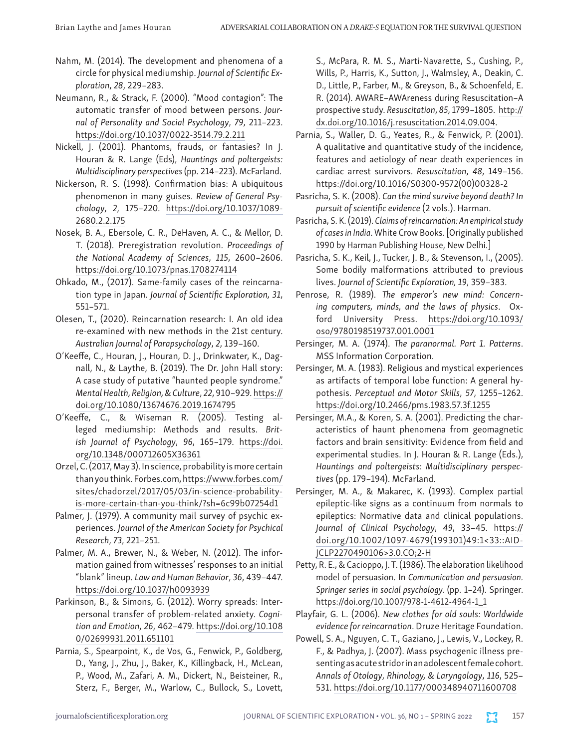- Nahm, M. (2014). The development and phenomena of a circle for physical mediumship. *Journal of Scientific Exploration*, *28*, 229–283.
- Neumann, R., & Strack, F. (2000). "Mood contagion": The automatic transfer of mood between persons. *Journal of Personality and Social Psychology*, *79*, 211–223. [https://doi.org/10.1037/0022-3514.79.2.211](https://psycnet.apa.org/doi/10.1037/0022-3514.79.2.211)
- Nickell, J. (2001). Phantoms, frauds, or fantasies? In J. Houran & R. Lange (Eds), *Hauntings and poltergeists: Multidisciplinary perspectives* (pp. 214–223). McFarland.
- Nickerson, R. S. (1998). Confirmation bias: A ubiquitous phenomenon in many guises. *Review of General Psychology*, *2*, 175–220. [https://doi.org/10.1037/1089-](https://doi.org/10.1037/1089-2680.2.2.175) [2680.2.2.175](https://doi.org/10.1037/1089-2680.2.2.175)
- Nosek, B. A., Ebersole, C. R., DeHaven, A. C., & Mellor, D. T. (2018). Preregistration revolution. *Proceedings of the National Academy of Sciences*, *115*, 2600–2606. <https://doi.org/10.1073/pnas.1708274114>
- Ohkado, M., (2017). Same-family cases of the reincarnation type in Japan. *Journal of Scientific Exploration, 31*, 551–571.
- Olesen, T., (2020). Reincarnation research: I. An old idea re-examined with new methods in the 21st century. *Australian Journal of Parapsychology*, *2*, 139–160.
- O'Keeffe, C., Houran, J., Houran, D. J., Drinkwater, K., Dagnall, N., & Laythe, B. (2019). The Dr. John Hall story: A case study of putative "haunted people syndrome." *Mental Health, Religion, & Culture*, *22*, 910–929. [https://](https://doi.org/10.1080/13674676.2019.1674795) [doi.org/10.1080/13674676.2019.1674795](https://doi.org/10.1080/13674676.2019.1674795)
- O'Keeffe, C., & Wiseman R. (2005). Testing alleged mediumship: Methods and results. *British Journal of Psychology*, *96*, 165–179. [https://doi.](https://doi.org/10.1348/000712605X36361) [org/10.1348/000712605X36361](https://doi.org/10.1348/000712605X36361)
- Orzel, C. (2017, May 3). In science, probability is more certain than you think. Forbes.com, [https://www.forbes.com/](https://www.forbes.com/sites/chadorzel/2017/05/03/in-science-probability-is-more-certain-than-you-think/?sh=6c99b07254d1) [sites/chadorzel/2017/05/03/in-science-probability](https://www.forbes.com/sites/chadorzel/2017/05/03/in-science-probability-is-more-certain-than-you-think/?sh=6c99b07254d1)[is-more-certain-than-you-think/?sh=6c99b07254d1](https://www.forbes.com/sites/chadorzel/2017/05/03/in-science-probability-is-more-certain-than-you-think/?sh=6c99b07254d1)
- Palmer, J. (1979). A community mail survey of psychic experiences. *Journal of the American Society for Psychical Research*, *73*, 221–251.
- Palmer, M. A., Brewer, N., & Weber, N. (2012). The information gained from witnesses' responses to an initial "blank" lineup. *Law and Human Behavior*, *36*, 439–447. <https://doi.org/10.1037/h0093939>
- Parkinson, B., & Simons, G. (2012). Worry spreads: Interpersonal transfer of problem-related anxiety. *Cognition and Emotion*, *26*, 462–479. [https://doi.org/10.108](https://psycnet.apa.org/doi/10.1080/02699931.2011.651101) [0/02699931.2011.651101](https://psycnet.apa.org/doi/10.1080/02699931.2011.651101)
- Parnia, S., Spearpoint, K., de Vos, G., Fenwick, P., Goldberg, D., Yang, J., Zhu, J., Baker, K., Killingback, H., McLean, P., Wood, M., Zafari, A. M., Dickert, N., Beisteiner, R., Sterz, F., Berger, M., Warlow, C., Bullock, S., Lovett,

S., McPara, R. M. S., Marti-Navarette, S., Cushing, P., Wills, P., Harris, K., Sutton, J., Walmsley, A., Deakin, C. D., Little, P., Farber, M., & Greyson, B., & Schoenfeld, E. R. (2014). AWARE–AWAreness during Resuscitation–A prospective study. *Resuscitation*, *85*, 1799–1805. [http://](http://dx.doi.org/10.1016/j.resuscitation.2014.09.004) [dx.doi.org/10.1016/j.resuscitation.2014.09.004.](http://dx.doi.org/10.1016/j.resuscitation.2014.09.004)

- Parnia, S., Waller, D. G., Yeates, R., & Fenwick, P. (2001). A qualitative and quantitative study of the incidence, features and aetiology of near death experiences in cardiac arrest survivors. *Resuscitation*, *48*, 149–156. [https://doi.org/10.1016/S0300-9572\(00\)00328-2](https://doi.org/10.1016/S0300-9572(00)00328-2)
- Pasricha, S. K. (2008). *Can the mind survive beyond death? In pursuit of scientific evidence* (2 vols.). Harman.
- Pasricha, S. K. (2019). *Claims of reincarnation: An empirical study of cases in India*. White Crow Books. [Originally published 1990 by Harman Publishing House, New Delhi.]
- Pasricha, S. K., Keil, J., Tucker, J. B., & Stevenson, I., (2005). Some bodily malformations attributed to previous lives. *Journal of Scientific Exploration, 19*, 359–383.
- Penrose, R. (1989). *The emperor's new mind: Concerning computers, minds, and the laws of physics*. Oxford University Press. [https://doi.org/10.1093/](https://doi.org/10.1093/oso/9780198519737.001.0001) [oso/9780198519737.001.0001](https://doi.org/10.1093/oso/9780198519737.001.0001)
- Persinger, M. A. (1974). *The paranormal. Part 1. Patterns*. MSS Information Corporation.
- Persinger, M. A. (1983). Religious and mystical experiences as artifacts of temporal lobe function: A general hypothesis. *Perceptual and Motor Skills*, *57*, 1255–1262. <https://doi.org/10.2466/pms.1983.57.3f.1255>
- Persinger, M.A., & Koren, S. A. (2001). Predicting the characteristics of haunt phenomena from geomagnetic factors and brain sensitivity: Evidence from field and experimental studies. In J. Houran & R. Lange (Eds.), *Hauntings and poltergeists: Multidisciplinary perspectives* (pp. 179–194). McFarland.
- Persinger, M. A., & Makarec, K. (1993). Complex partial epileptic-like signs as a continuum from normals to epileptics: Normative data and clinical populations. *Journal of Clinical Psychology*, *49*, 33–45. [https://](https://doi.org/10.1002/1097-4679(199301)49:1%3c33::AID-JCLP2270490106%3e3.0.CO;2-H) [doi.org/10.1002/1097-4679\(199301\)49:1<33::AID-](https://doi.org/10.1002/1097-4679(199301)49:1%3c33::AID-JCLP2270490106%3e3.0.CO;2-H)[JCLP2270490106>3.0.CO;2-H](https://doi.org/10.1002/1097-4679(199301)49:1%3c33::AID-JCLP2270490106%3e3.0.CO;2-H)
- Petty, R. E., & Cacioppo, J. T. (1986). The elaboration likelihood model of persuasion. In *Communication and persuasion. Springer series in social psychology.* (pp. 1–24). Springer. [https://doi.org/10.1007/978-1-4612-4964-1\\_1](https://doi.org/10.1007/978-1-4612-4964-1_1)
- Playfair, G. L. (2006). *New clothes for old souls: Worldwide evidence for reincarnation*. Druze Heritage Foundation.
- Powell, S. A., Nguyen, C. T., Gaziano, J., Lewis, V., Lockey, R. F., & Padhya, J. (2007). Mass psychogenic illness presenting as acute stridor in an adolescent female cohort. *Annals of Otology*, *Rhinology, & Laryngology*, *116*, 525– 531. <https://doi.org/10.1177/000348940711600708>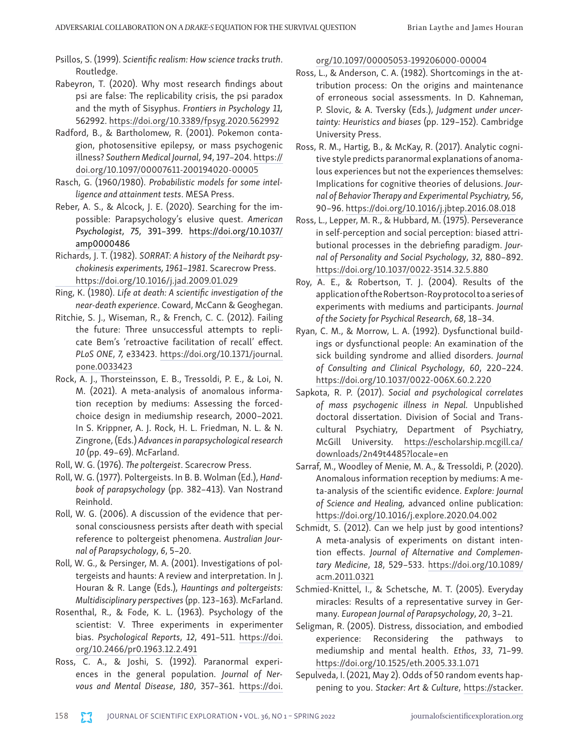- Psillos, S. (1999). *Scientific realism: How science tracks truth*. Routledge.
- Rabeyron, T. (2020). Why most research findings about psi are false: The replicability crisis, the psi paradox and the myth of Sisyphus. *Frontiers in Psychology 11,*  562992.<https://doi.org/10.3389/fpsyg.2020.562992>
- Radford, B., & Bartholomew, R. (2001). Pokemon contagion, photosensitive epilepsy, or mass psychogenic illness? *Southern Medical Journal*, *94*, 197–204. [https://](https://doi.org/10.1097/00007611-200194020-00005) [doi.org/10.1097/00007611-200194020-00005](https://doi.org/10.1097/00007611-200194020-00005)
- Rasch, G. (1960/1980). *Probabilistic models for some intelligence and attainment tests*. MESA Press.
- Reber, A. S., & Alcock, J. E. (2020). Searching for the impossible: Parapsychology's elusive quest. *American Psychologist*, *75*, 391–399. [https://doi.org/10.1037/](https://doi.org/10.1037/amp0000486) [amp0000486](https://doi.org/10.1037/amp0000486)
- Richards, J. T. (1982). *SORRAT: A history of the Neihardt psychokinesis experiments, 1961*–*1981*. Scarecrow Press. <https://doi.org/10.1016/j.jad.2009.01.029>
- Ring, K. (1980). *Life at death: A scientific investigation of the near-death experience*. Coward, McCann & Geoghegan.
- Ritchie, S. J., Wiseman, R., & French, C. C. (2012). Failing the future: Three unsuccessful attempts to replicate Bem's 'retroactive facilitation of recall' effect. *PLoS ONE*, *7,* e33423. [https://doi.org/10.1371/journal.](https://doi.org/10.1371/journal.pone.0033423) [pone.0033423](https://doi.org/10.1371/journal.pone.0033423)
- Rock, A. J., Thorsteinsson, E. B., Tressoldi, P. E., & Loi, N. M. (2021). A meta-analysis of anomalous information reception by mediums: Assessing the forcedchoice design in mediumship research, 2000–2021. In S. Krippner, A. J. Rock, H. L. Friedman, N. L. & N. Zingrone, (Eds.) *Advances in parapsychological research 10* (pp. 49–69). McFarland.
- Roll, W. G. (1976). *The poltergeist*. Scarecrow Press.
- Roll, W. G. (1977). Poltergeists. In B. B. Wolman (Ed.), *Handbook of parapsychology* (pp. 382–413). Van Nostrand Reinhold.
- Roll, W. G. (2006). A discussion of the evidence that personal consciousness persists after death with special reference to poltergeist phenomena. *Australian Journal of Parapsychology*, *6*, 5–20.
- Roll, W. G., & Persinger, M. A. (2001). Investigations of poltergeists and haunts: A review and interpretation. In J. Houran & R. Lange (Eds.), *Hauntings and poltergeists: Multidisciplinary perspectives* (pp. 123–163). McFarland.
- Rosenthal, R., & Fode, K. L. (1963). Psychology of the scientist: V. Three experiments in experimenter bias. *Psychological Reports*, *12*, 491–511. [https://doi.](https://doi.org/10.2466/pr0.1963.12.2.491) [org/10.2466/pr0.1963.12.2.491](https://doi.org/10.2466/pr0.1963.12.2.491)
- Ross, C. A., & Joshi, S. (1992). Paranormal experiences in the general population. *Journal of Nervous and Mental Disease*, *180*, 357–361. [https://doi.](https://doi.org/10.1097/00005053-199206000-00004)

#### [org/10.1097/00005053-199206000-00004](https://doi.org/10.1097/00005053-199206000-00004)

- Ross, L., & Anderson, C. A. (1982). Shortcomings in the attribution process: On the origins and maintenance of erroneous social assessments. In D. Kahneman, P. Slovic, & A. Tversky (Eds.), *Judgment under uncertainty: Heuristics and biases* (pp. 129–152). Cambridge University Press.
- Ross, R. M., Hartig, B., & McKay, R. (2017). Analytic cognitive style predicts paranormal explanations of anomalous experiences but not the experiences themselves: Implications for cognitive theories of delusions. *Journal of Behavior Therapy and Experimental Psychiatry, 56*, 90–96. <https://doi.org/10.1016/j.jbtep.2016.08.018>
- Ross, L., Lepper, M. R., & Hubbard, M. (1975). Perseverance in self-perception and social perception: biased attributional processes in the debriefing paradigm. *Journal of Personality and Social Psychology*, *32*, 880–892. <https://doi.org/10.1037/0022-3514.32.5.880>
- Roy, A. E., & Robertson, T. J. (2004). Results of the application of the Robertson-Roy protocol to a series of experiments with mediums and participants. *Journal of the Society for Psychical Research*, *68*, 18–34.
- Ryan, C. M., & Morrow, L. A. (1992). Dysfunctional buildings or dysfunctional people: An examination of the sick building syndrome and allied disorders. *Journal of Consulting and Clinical Psychology*, *60*, 220–224. <https://doi.org/10.1037/0022-006X.60.2.220>
- Sapkota, R. P. (2017). *Social and psychological correlates of mass psychogenic illness in Nepal.* Unpublished doctoral dissertation. Division of Social and Transcultural Psychiatry, Department of Psychiatry, McGill University. [https://escholarship.mcgill.ca/](https://escholarship.mcgill.ca/downloads/2n49t4485?locale=en) [downloads/2n49t4485?locale=en](https://escholarship.mcgill.ca/downloads/2n49t4485?locale=en)
- Sarraf, M., Woodley of Menie, M. A., & Tressoldi, P. (2020). Anomalous information reception by mediums: A meta-analysis of the scientific evidence. *Explore: Journal of Science and Healing,* advanced online publication: <https://doi.org/10.1016/j.explore.2020.04.002>
- Schmidt, S. (2012). Can we help just by good intentions? A meta-analysis of experiments on distant intention effects. *Journal of Alternative and Complementary Medicine*, *18*, 529–533. [https://doi.org/10.1089/](https://doi.org/10.1089/acm.2011.0321) [acm.2011.0321](https://doi.org/10.1089/acm.2011.0321)
- Schmied-Knittel, I., & Schetsche, M. T. (2005). Everyday miracles: Results of a representative survey in Germany. *European Journal of Parapsychology*, *20*, 3–21.
- Seligman, R. (2005). Distress, dissociation, and embodied experience: Reconsidering the pathways to mediumship and mental health. *Ethos*, *33*, 71–99. <https://doi.org/10.1525/eth.2005.33.1.071>
- Sepulveda, I. (2021, May 2). Odds of 50 random events happening to you. *Stacker: Art & Culture*, [https://stacker.](https://stacker.com/stories/2343/what-are-chances)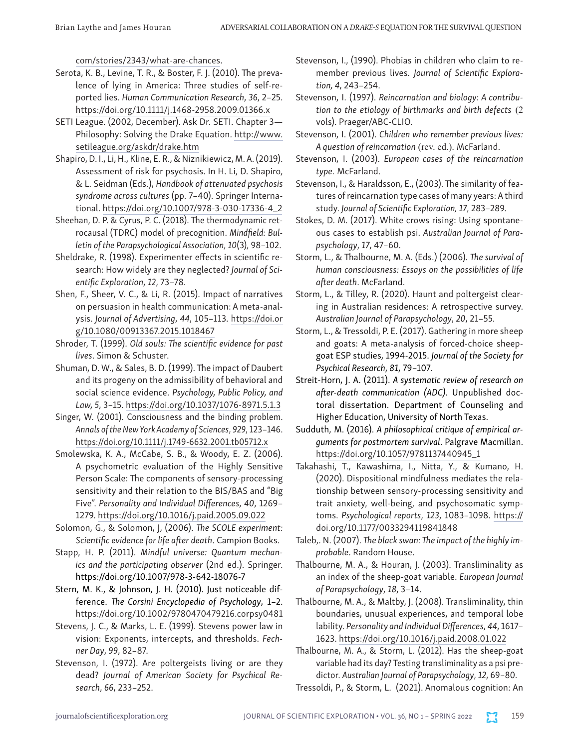[com/stories/2343/what-are-chances](https://stacker.com/stories/2343/what-are-chances).

- Serota, K. B., Levine, T. R., & Boster, F. J. (2010). The prevalence of lying in America: Three studies of self-reported lies. *Human Communication Research*, *36*, 2–25. <https://doi.org/10.1111/j.1468-2958.2009.01366.x>
- SETI League. (2002, December). Ask Dr. SETI. Chapter 3— Philosophy: Solving the Drake Equation. [http://www.](http://www.setileague.org/askdr/drake.htm) [setileague.org/askdr/drake.htm](http://www.setileague.org/askdr/drake.htm)
- Shapiro, D. I., Li, H., Kline, E. R., & Niznikiewicz, M. A. (2019). Assessment of risk for psychosis. In H. Li, D. Shapiro, & L. Seidman (Eds.), *Handbook of attenuated psychosis syndrome across cultures* (pp. 7–40). Springer International. [https://doi.org/10.1007/978-3-030-17336-4\\_2](https://doi.org/10.1007/978-3-030-17336-4_2)
- Sheehan, D. P. & Cyrus, P. C. (2018). The thermodynamic retrocausal (TDRC) model of precognition. *Mindfield: Bulletin of the Parapsychological Association*, *10*(3), 98–102.
- Sheldrake, R. (1998). Experimenter effects in scientific research: How widely are they neglected? *Journal of Scientific Exploration*, *12*, 73–78.
- Shen, F., Sheer, V. C., & Li, R. (2015). Impact of narratives on persuasion in health communication: A meta-analysis. *Journal of Advertising*, *44*, 105–113. [https://doi.or](https://doi.org/10.1080/00913367.2015.1018467) [g/10.1080/00913367.2015.1018467](https://doi.org/10.1080/00913367.2015.1018467)
- Shroder, T. (1999). *Old souls: The scientific evidence for past lives*. Simon & Schuster.
- Shuman, D. W., & Sales, B. D. (1999). The impact of Daubert and its progeny on the admissibility of behavioral and social science evidence. *Psychology, Public Policy, and Law, 5*, 3–15. [https://doi.org/10.1037/1076-8971.5.1.3](https://psycnet.apa.org/doi/10.1037/1076-8971.5.1.3)
- Singer, W. (2001). Consciousness and the binding problem. *Annals of the New York Academy of Sciences*, *929*, 123–146. <https://doi.org/10.1111/j.1749-6632.2001.tb05712.x>
- Smolewska, K. A., McCabe, S. B., & Woody, E. Z. (2006). A psychometric evaluation of the Highly Sensitive Person Scale: The components of sensory-processing sensitivity and their relation to the BIS/BAS and "Big Five". *Personality and Individual Differences*, *40*, 1269– 1279. <https://doi.org/10.1016/j.paid.2005.09.022>
- Solomon, G., & Solomon, J, (2006). *The SCOLE experiment: Scientific evidence for life after death*. Campion Books.
- Stapp, H. P. (2011). *Mindful universe: Quantum mechanics and the participating observer* (2nd ed.). Springer. <https://doi.org/10.1007/978-3-642-18076-7>
- Stern, M. K., & Johnson, J. H. (2010). Just noticeable difference. *The Corsini Encyclopedia of Psychology*, 1–2. <https://doi.org/10.1002/9780470479216.corpsy0481>
- Stevens, J. C., & Marks, L. E. (1999). Stevens power law in vision: Exponents, intercepts, and thresholds. *Fechner Day*, *99*, 82–87.
- Stevenson, I. (1972). Are poltergeists living or are they dead? *Journal of American Society for Psychical Research*, *66*, 233–252.
- Stevenson, I., (1990). Phobias in children who claim to remember previous lives. *Journal of Scientific Exploration, 4*, 243–254.
- Stevenson, I. (1997). *Reincarnation and biology: A contribution to the etiology of birthmarks and birth defects* (2 vols). Praeger/ABC-CLIO.
- Stevenson, I. (2001). *Children who remember previous lives: A question of reincarnation* (rev. ed.). McFarland.
- Stevenson, I. (2003). *European cases of the reincarnation type.* McFarland.
- Stevenson, I., & Haraldsson, E., (2003). The similarity of features of reincarnation type cases of many years: A third study. *Journal of Scientific Exploration, 17*, 283–289.
- Stokes, D. M. (2017). White crows rising: Using spontaneous cases to establish psi. *Australian Journal of Parapsychology*, *17*, 47–60.
- Storm, L., & Thalbourne, M. A. (Eds.) (2006). *The survival of human consciousness: Essays on the possibilities of life after death*. McFarland.
- Storm, L., & Tilley, R. (2020). Haunt and poltergeist clearing in Australian residences: A retrospective survey. *Australian Journal of Parapsychology*, *20*, 21–55.
- Storm, L., & Tressoldi, P. E. (2017). Gathering in more sheep and goats: A meta-analysis of forced-choice sheepgoat ESP studies, 1994-2015. *Journal of the Society for Psychical Research*, *81*, 79–107.
- Streit-Horn, J. A. (2011). *A systematic review of research on after-death communication (ADC)*. Unpublished doctoral dissertation. Department of Counseling and Higher Education, University of North Texas.
- Sudduth, M. (2016). *A philosophical critique of empirical arguments for postmortem survival*. Palgrave Macmillan. [https://doi.org/10.1057/9781137440945\\_1](https://doi.org/10.1057/9781137440945_1)
- Takahashi, T., Kawashima, I., Nitta, Y., & Kumano, H. (2020). Dispositional mindfulness mediates the relationship between sensory-processing sensitivity and trait anxiety, well-being, and psychosomatic symptoms. *Psychological reports*, *123*, 1083–1098. [https://](https://doi.org/10.1177/0033294119841848) [doi.org/10.1177/0033294119841848](https://doi.org/10.1177/0033294119841848)
- Taleb,. N. (2007). *The black swan: The impact of the highly improbable*. Random House.
- Thalbourne, M. A., & Houran, J. (2003). Transliminality as an index of the sheep-goat variable. *European Journal of Parapsychology*, *18*, 3–14.
- Thalbourne, M. A., & Maltby, J. (2008). Transliminality, thin boundaries, unusual experiences, and temporal lobe lability. *Personality and Individual Differences*, *44*, 1617– 1623. <https://doi.org/10.1016/j.paid.2008.01.022>
- Thalbourne, M. A., & Storm, L. (2012). Has the sheep-goat variable had its day? Testing transliminality as a psi predictor. *Australian Journal of Parapsychology*, *12*, 69–80.

Tressoldi, P., & Storm, L. (2021). Anomalous cognition: An